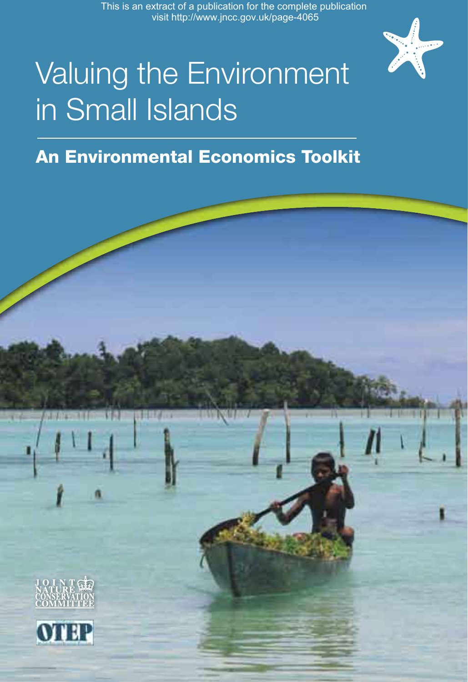This is an extract of a publication for the complete publication visit http://www.jncc.gov.uk/page-4065



# Valuing the Environment in Small Islands

#### An Environmental Economics Toolkit

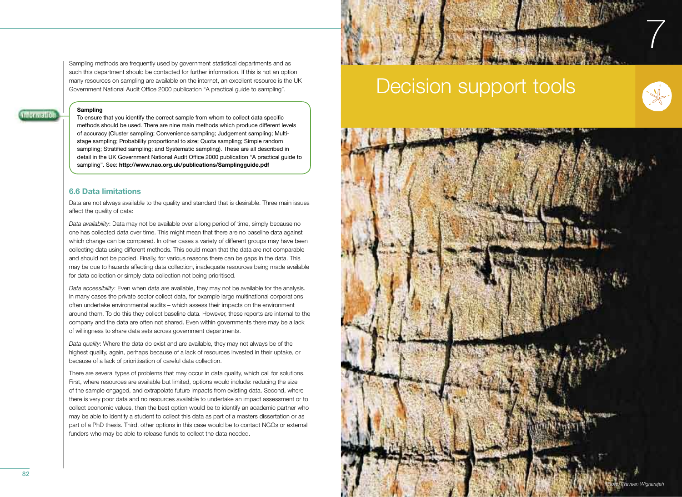Sampling methods are frequently used by government statistical departments and as such this department should be contacted for further information. If this is not an option many resources on sampling are available on the internet, an excellent resource is the UK Government National Audit Office 2000 publication "A practical guide to sampling".

#### **Sampling**

**Information** 

To ensure that you identify the correct sample from whom to collect data specific methods should be used. There are nine main methods which produce different levels of accuracy (Cluster sampling; Convenience sampling; Judgement sampling; Multistage sampling; Probability proportional to size; Quota sampling; Simple random sampling; Stratified sampling; and Systematic sampling). These are all described in detail in the UK Government National Audit Office 2000 publication "A practical quide to sampling". See: **http://www.nao.org.uk/publications/Samplingguide.pdf**

#### **6.6 Data limitations**

Data are not always available to the quality and standard that is desirable. Three main issues affect the quality of data:

*Data availability*: Data may not be available over a long period of time, simply because no one has collected data over time. This might mean that there are no baseline data against which change can be compared. In other cases a variety of different groups may have been collecting data using different methods. This could mean that the data are not comparable and should not be pooled. Finally, for various reasons there can be gaps in the data. This may be due to hazards affecting data collection, inadequate resources being made available for data collection or simply data collection not being prioritised.

*Data accessibility*: Even when data are available, they may not be available for the analysis. In many cases the private sector collect data, for example large multinational corporations often undertake environmental audits – which assess their impacts on the environment around them. To do this they collect baseline data. However, these reports are internal to the company and the data are often not shared. Even within governments there may be a lack of willingness to share data sets across government departments.

*Data quality*: Where the data do exist and are available, they may not always be of the highest quality, again, perhaps because of a lack of resources invested in their uptake, or because of a lack of prioritisation of careful data collection.

There are several types of problems that may occur in data quality, which call for solutions. First, where resources are available but limited, options would include: reducing the size of the sample engaged, and extrapolate future impacts from existing data. Second, where there is very poor data and no resources available to undertake an impact assessment or to collect economic values, then the best option would be to identify an academic partner who may be able to identify a student to collect this data as part of a masters dissertation or as part of a PhD thesis. Third, other options in this case would be to contact NGOs or external funders who may be able to release funds to collect the data needed.

# Decision support tools



7

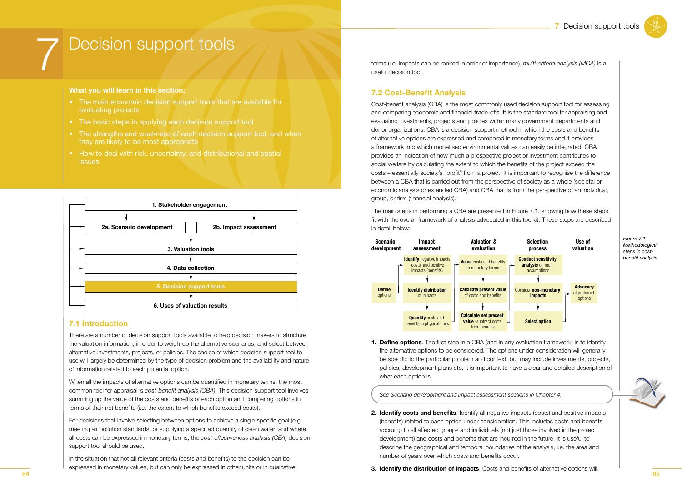## Decision support tools

#### What you will learn in this section:

- The main economic decision support tools that are available for evaluating projects
- The basic steps in applying each decision support tool
- The strengths and weakness of each decision support tool, and when they are likely to be most appropriate
- How to deal with risk, uncertainty, and distributional and spatial *issues*



#### **7.1 Introduction**

There are a number of decision support tools available to help decision makers to structure the valuation information, in order to weigh-up the alternative scenarios, and select between alternative investments, projects, or policies. The choice of which decision support tool to use will largely be determined by the type of decision problem and the availability and nature of information related to each potential option.

When all the impacts of alternative options can be quantified in monetary terms, the most common tool for appraisal is cost-benefit analysis (CBA). This decision support tool involves summing up the value of the costs and benefits of each option and comparing options in terms of their net benefits (i.e. the extent to which benefits exceed costs).

For decisions that involve selecting between options to achieve a single specific goal (e.g. meeting air pollution standards, or supplying a specified quantity of clean water) and where all costs can be expressed in monetary terms, the cost-effectiveness analysis (CEA) decision support tool should be used.

In the situation that not all relevant criteria (costs and benefits) to the decision can be expressed in monetary values, but can only be expressed in other units or in qualitative terms (i.e. impacts can be ranked in order of importance), multi-criteria analysis (MCA) is a useful decision tool.

#### **7.2 Cost-Benefit Analysis**

Cost-benefit analysis (CBA) is the most commonly used decision support tool for assessing and comparing economic and financial trade-offs. It is the standard tool for appraising and evaluating investments, projects and policies within many government departments and donor organizations. CBA is a decision support method in which the costs and benefits of alternative options are expressed and compared in monetary terms and it provides a framework into which monetised environmental values can easily be integrated. CBA provides an indication of how much a prospective project or investment contributes to social welfare by calculating the extent to which the benefits of the project exceed the costs – essentially society's "profit" from a project. It is important to recognise the difference between a CBA that is carried out from the perspective of society as a whole (societal or economic analysis or extended CBA) and CBA that is from the perspective of an individual, group, or firm (financial analysis).

The main steps in performing a CBA are presented in Figure 7.1, showing how these steps fit with the overall framework of analysis advocated in this toolkit. These steps are described in detail below:



Figure 7.1 Methodological steps in costbenefit analysis

**1. Define options.** The first step in a CBA (and in any evaluation framework) is to identify the alternative options to be considered. The options under consideration will generally be specific to the particular problem and context, but may include investments, projects, policies, development plans etc. It is important to have a clear and detailed description of what each option is.

See Scenario development and impact assessment sections in Chapter 4.

2. Identify costs and benefits. Identify all negative impacts (costs) and positive impacts (benefits) related to each option under consideration. This includes costs and benefits accruing to all affected groups and individuals (not just those involved in the project development) and costs and benefits that are incurred in the future. It is useful to describe the geographical and temporal boundaries of the analysis, i.e. the area and number of years over which costs and benefits occur.



3. Identify the distribution of impacts. Costs and benefits of alternative options will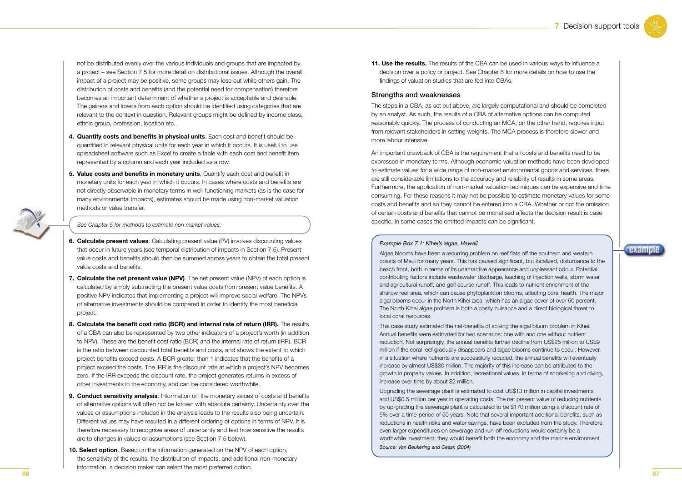not be distributed evenly over the various individuals and groups that are impacted by a project – see Section 7.5 for more detail on distributional issues. Although the overall impact of a project may be positive, some groups may lose out while others gain. The distribution of costs and benefits (and the potential need for compensation) therefore becomes an important determinant of whether a project is acceptable and desirable. The gainers and losers from each option should be identified using categories that are relevant to the context in question. Relevant groups might be defined by income class, ethnic group, profession, location etc.

- 4. Quantify costs and benefits in physical units. Each cost and benefit should be quantified in relevant physical units for each year in which it occurs. It is useful to use spreadsheet software such as Excel to create a table with each cost and benefit item represented by a column and each year included as a row.
- **5. Value costs and benefits in monetary units**. Quantify each cost and benefit in monetary units for each year in which it occurs. In cases where costs and benefits are not directly observable in monetary terms in well-functioning markets (as is the case for many environmental impacts), estimates should be made using non-market valuation methods or value transfer.



- **6. Calculate present values**. Calculating present value (PV) involves discounting values that occur in future years (see temporal distribution of impacts in Section 7.5). Present value costs and benefits should then be summed across years to obtain the total present value costs and benefits.
- **7. Calculate the net present value (NPV)**. The net present value (NPV) of each option is calculated by simply subtracting the present value costs from present value benefits. A positive NPV indicates that implementing a project will improve social welfare. The NPVs of alternative investments should be compared in order to identify the most beneficial project.
- **8. Calculate the benefit cost ratio (BCR) and internal rate of return (IRR).** The results of a CBA can also be represented by two other indicators of a project's worth (in addition to NPV). These are the benefit cost ratio (BCR) and the internal rate of return (IRR). BCR is the ratio between discounted total benefits and costs, and shows the extent to which project benefits exceed costs. A BCR greater than 1 indicates that the benefits of a project exceed the costs. The IRR is the discount rate at which a project's NPV becomes zero. If the IRR exceeds the discount rate, the project generates returns in excess of other investments in the economy, and can be considered worthwhile.
- **9. Conduct sensitivity analysis**. Information on the monetary values of costs and benefits of alternative options will often not be known with absolute certainty. Uncertainty over the values or assumptions included in the analysis leads to the results also being uncertain. Different values may have resulted in a different ordering of options in terms of NPV. It is therefore necessary to recognise areas of uncertainty and test how sensitive the results are to changes in values or assumptions (see Section 7.5 below).
- **10. Select option**. Based on the information generated on the NPV of each option, the sensitivity of the results, the distribution of impacts, and additional non-monetary information, a decision maker can select the most preferred option.

**11. Use the results.** The results of the CBA can be used in various ways to influence a decision over a policy or project. See Chapter 8 for more details on how to use the findings of valuation studies that are fed into CBAs.

#### Strengths and weaknesses

The steps in a CBA, as set out above, are largely computational and should be completed by an analyst. As such, the results of a CBA of alternative options can be computed reasonably quickly. The process of conducting an MCA, on the other hand, requires input from relevant stakeholders in setting weights. The MCA process is therefore slower and more labour intensive.

An important drawback of CBA is the requirement that all costs and benefits need to be expressed in monetary terms. Although economic valuation methods have been developed to estimate values for a wide range of non-market environmental goods and services, there are still considerable limitations to the accuracy and reliability of results in some areas. Furthermore, the application of non-market valuation techniques can be expensive and time consuming. For these reasons it may not be possible to estimate monetary values for some costs and benefits and so they cannot be entered into a CBA. Whether or not the omission of certain costs and benefits that cannot be monetised affects the decision result is case specific. In some cases the omitted impacts can be significant.

#### *Example Box 7.1: Kihei's algae, Hawaii*

Algae blooms have been a recurring problem on reef flats off the southern and western coasts of Maui for many years. This has caused significant, but localized, disturbance to the beach front, both in terms of its unattractive appearance and unpleasant odour. Potential contributing factors include wastewater discharge, leaching of injection wells, storm water and agricultural runoff, and golf course runoff. This leads to nutrient enrichment of the shallow reef area, which can cause phytoplankton blooms, affecting coral health. The major algal blooms occur in the North Kihei area, which has an algae cover of over 50 percent. The North Kihei algae problem is both a costly nuisance and a direct biological threat to local coral resources.

This case study estimated the net-benefits of solving the algal bloom problem in Kihei. Annual benefits were estimated for two scenarios: one with and one without nutrient reduction. Not surprisingly, the annual benefits further decline from US\$25 million to US\$9 million if the coral reef gradually disappears and algae blooms continue to occur. However, in a situation where nutrients are successfully reduced, the annual benefits will eventually increase by almost US\$30 million. The majority of this increase can be attributed to the growth in property values. In addition, recreational values, in terms of snorkeling and diving, increase over time by about \$2 million.

Upgrading the sewerage plant is estimated to cost US\$13 million in capital investments and US\$0.5 million per year in operating costs. The net present value of reducing nutrients by up-grading the sewerage plant is calculated to be \$170 million using a discount rate of 5% over a time-period of 50 years. Note that several important additional benefits, such as reductions in health risks and water savings, have been excluded from the study. Therefore, even larger expenditures on sewerage and run-off reductions would certainly be a worthwhile investment; they would benefit both the economy and the marine environment. *Source: Van Beukering and Cesar. (2004)*

#### example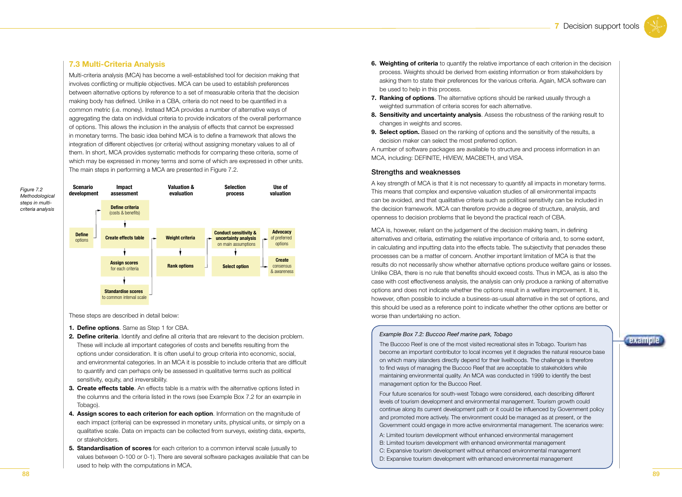#### **7.3 Multi-Criteria Analysis**

Multi-criteria analysis (MCA) has become a well-established tool for decision making that involves conflicting or multiple objectives. MCA can be used to establish preferences between alternative options by reference to a set of measurable criteria that the decision making body has defined. Unlike in a CBA, criteria do not need to be quantified in a common metric (i.e. money). Instead MCA provides a number of alternative ways of aggregating the data on individual criteria to provide indicators of the overall performance of options. This allows the inclusion in the analysis of effects that cannot be expressed in monetary terms. The basic idea behind MCA is to define a framework that allows the integration of different objectives (or criteria) without assigning monetary values to all of them. In short, MCA provides systematic methods for comparing these criteria, some of which may be expressed in money terms and some of which are expressed in other units. The main steps in performing a MCA are presented in Figure 7.2.



**Scenario** 

| development              | assessment                                            | evaluation             | process                                                                         | valuation                                  |
|--------------------------|-------------------------------------------------------|------------------------|---------------------------------------------------------------------------------|--------------------------------------------|
|                          | Define criteria<br>(costs & benefits)                 |                        |                                                                                 |                                            |
|                          |                                                       |                        |                                                                                 |                                            |
| <b>Define</b><br>options | <b>Create effects table</b>                           | <b>Weight criteria</b> | <b>Conduct sensitivity &amp;</b><br>uncertainty analysis<br>on main assumptions | <b>Advocacy</b><br>of preferred<br>options |
|                          |                                                       |                        |                                                                                 |                                            |
|                          | <b>Assign scores</b><br>for each criteria             | <b>Rank options</b>    | <b>Select option</b>                                                            | <b>Create</b><br>consensus<br>& awareness  |
|                          |                                                       |                        |                                                                                 |                                            |
|                          | <b>Standardise scores</b><br>to common interval scale |                        |                                                                                 |                                            |

**Valuation &** 

**Selection** 

Use of

These steps are described in detail below:

Impact

- 1. Define options. Same as Step 1 for CBA.
- 2. Define criteria. Identify and define all criteria that are relevant to the decision problem. These will include all important categories of costs and benefits resulting from the options under consideration. It is often useful to group criteria into economic, social, and environmental categories. In an MCA it is possible to include criteria that are difficult to quantify and can perhaps only be assessed in qualitative terms such as political sensitivity, equity, and irreversibility.
- 3. Create effects table. An effects table is a matrix with the alternative options listed in the columns and the criteria listed in the rows (see Example Box 7.2 for an example in Tobago).
- 4. Assign scores to each criterion for each option. Information on the magnitude of each impact (criteria) can be expressed in monetary units, physical units, or simply on a qualitative scale. Data on impacts can be collected from surveys, existing data, experts, or stakeholders.
- 5. Standardisation of scores for each criterion to a common interval scale (usually to values between 0-100 or 0-1). There are several software packages available that can be used to help with the computations in MCA.
- 6. Weighting of criteria to quantify the relative importance of each criterion in the decision process. Weights should be derived from existing information or from stakeholders by asking them to state their preferences for the various criteria. Again, MCA software can be used to help in this process.
- 7. Ranking of options. The alternative options should be ranked usually through a weighted summation of criteria scores for each alternative.
- 8. Sensitivity and uncertainty analysis. Assess the robustness of the ranking result to changes in weights and scores.
- 9. Select option. Based on the ranking of options and the sensitivity of the results, a decision maker can select the most preferred option.

A number of software packages are available to structure and process information in an MCA, including: DEFINITE, HIVIEW, MACBETH, and VISA.

#### Strengths and weaknesses

A key strength of MCA is that it is not necessary to quantify all impacts in monetary terms. This means that complex and expensive valuation studies of all environmental impacts can be avoided, and that qualitative criteria such as political sensitivity can be included in the decision framework. MCA can therefore provide a degree of structure, analysis, and openness to decision problems that lie beyond the practical reach of CBA.

MCA is, however, reliant on the judgement of the decision making team, in defining alternatives and criteria, estimating the relative importance of criteria and, to some extent, in calculating and inputting data into the effects table. The subjectivity that pervades these processes can be a matter of concern. Another important limitation of MCA is that the results do not necessarily show whether alternative options produce welfare gains or losses. Unlike CBA, there is no rule that benefits should exceed costs. Thus in MCA, as is also the case with cost effectiveness analysis, the analysis can only produce a ranking of alternative options and does not indicate whether the options result in a welfare improvement. It is, however, often possible to include a business-as-usual alternative in the set of options, and this should be used as a reference point to indicate whether the other options are better or worse than undertaking no action.

#### Example Box 7.2: Buccoo Reef marine park, Tobago

The Buccoo Reef is one of the most visited recreational sites in Tobago. Tourism has become an important contributor to local incomes yet it degrades the natural resource base on which many islanders directly depend for their livelihoods. The challenge is therefore to find ways of managing the Buccoo Reef that are acceptable to stakeholders while maintaining environmental quality. An MCA was conducted in 1999 to identify the best management option for the Buccoo Reef.

Four future scenarios for south-west Tobago were considered, each describing different levels of tourism development and environmental management. Tourism growth could continue along its current development path or it could be influenced by Government policy and promoted more actively. The environment could be managed as at present, or the Government could engage in more active environmental management. The scenarios were:

- A: Limited tourism development without enhanced environmental management B: Limited tourism development with enhanced environmental management
- C: Expansive tourism development without enhanced environmental management
- D: Expansive tourism development with enhanced environmental management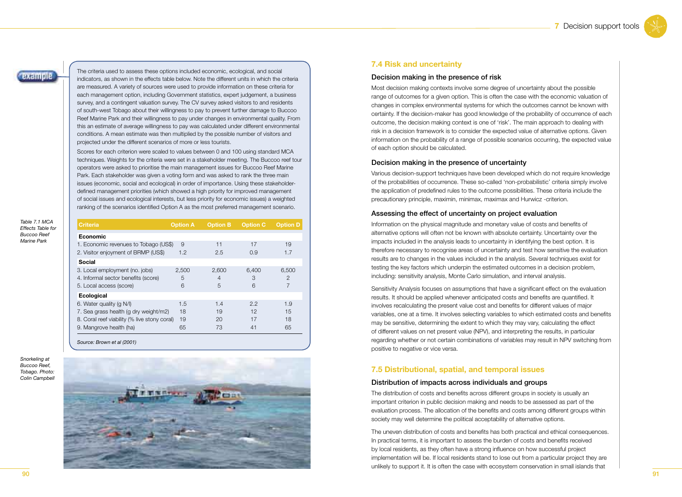example

The criteria used to assess these options included economic, ecological, and social indicators, as shown in the effects table below. Note the different units in which the criteria are measured. A variety of sources were used to provide information on these criteria for each management option, including Government statistics, expert judgement, a business survey, and a contingent valuation survey. The CV survey asked visitors to and residents of south-west Tobago about their willingness to pay to prevent further damage to Buccoo Reef Marine Park and their willingness to pay under changes in environmental quality. From this an estimate of average willingness to pay was calculated under different environmental conditions. A mean estimate was then multiplied by the possible number of visitors and projected under the different scenarios of more or less tourists.

Scores for each criterion were scaled to values between 0 and 100 using standard MCA techniques. Weights for the criteria were set in a stakeholder meeting. The Buccoo reef tour operators were asked to prioritise the main management issues for Buccoo Reef Marine Park. Each stakeholder was given a voting form and was asked to rank the three main issues (economic, social and ecological) in order of importance. Using these stakeholderdefined management priorities (which showed a high priority for improved management of social issues and ecological interests, but less priority for economic issues) a weighted ranking of the scenarios identified Option A as the most preferred management scenario.

| <b>Criteria</b>                              | <b>Option A</b> | <b>Option B</b> | <b>Option C</b> | <b>Option D</b> |
|----------------------------------------------|-----------------|-----------------|-----------------|-----------------|
| <b>Economic</b>                              |                 |                 |                 |                 |
| 1. Economic revenues to Tobago (US\$)        | 9               | 11              | 17              | 19              |
| 2. Visitor enjoyment of BRMP (US\$)          | 1.2             | 2.5             | 0.9             | 1.7             |
| Social                                       |                 |                 |                 |                 |
| 3. Local employment (no. jobs)               | 2,500           | 2,600           | 6,400           | 6,500           |
| 4. Informal sector benefits (score)          | 5               | $\overline{4}$  | 3               | $\overline{2}$  |
| 5. Local access (score)                      | 6               | 5               | 6               | 7               |
| <b>Ecological</b>                            |                 |                 |                 |                 |
| 6. Water quality (q N/I)                     | 1.5             | 1.4             | 2.2             | 1.9             |
| 7. Sea grass health (g dry weight/m2)        | 18              | 19              | 12              | 15              |
| 8. Coral reef viability (% live stony coral) | 19              | 20              | 17              | 18              |
| 9. Mangrove health (ha)                      | 65              | 73              | 41              | 65              |

*Source: Brown et al (2001)*

*Snorkeling at Buccoo Reef, Tobago. Photo: Colin Campbell*



#### **7.4 Risk and uncertainty**

#### Decision making in the presence of risk

Most decision making contexts involve some degree of uncertainty about the possible range of outcomes for a given option. This is often the case with the economic valuation of changes in complex environmental systems for which the outcomes cannot be known with certainty. If the decision-maker has good knowledge of the probability of occurrence of each outcome, the decision making context is one of 'risk'. The main approach to dealing with risk in a decision framework is to consider the expected value of alternative options. Given information on the probability of a range of possible scenarios occurring, the expected value of each option should be calculated.

#### Decision making in the presence of uncertainty

Various decision-support techniques have been developed which do not require knowledge of the probabilities of occurrence. These so-called 'non-probabilistic' criteria simply involve the application of predefined rules to the outcome possibilities. These criteria include the precautionary principle, maximin, minimax, maximax and Hurwicz -criterion.

#### Assessing the effect of uncertainty on project evaluation

Information on the physical magnitude and monetary value of costs and benefits of alternative options will often not be known with absolute certainty. Uncertainty over the impacts included in the analysis leads to uncertainty in identifying the best option. It is therefore necessary to recognise areas of uncertainty and test how sensitive the evaluation results are to changes in the values included in the analysis. Several techniques exist for testing the key factors which underpin the estimated outcomes in a decision problem, including: sensitivity analysis, Monte Carlo simulation, and interval analysis.

Sensitivity Analysis focuses on assumptions that have a significant effect on the evaluation results. It should be applied whenever anticipated costs and benefits are quantified. It involves recalculating the present value cost and benefits for different values of major variables, one at a time. It involves selecting variables to which estimated costs and benefits may be sensitive, determining the extent to which they may vary, calculating the effect of different values on net present value (NPV), and interpreting the results, in particular regarding whether or not certain combinations of variables may result in NPV switching from positive to negative or vice versa.

#### **7.5 Distributional, spatial, and temporal issues**

#### Distribution of impacts across individuals and groups

The distribution of costs and benefits across different groups in society is usually an important criterion in public decision making and needs to be assessed as part of the evaluation process. The allocation of the benefits and costs among different groups within society may well determine the political acceptability of alternative options.

The uneven distribution of costs and benefits has both practical and ethical consequences. In practical terms, it is important to assess the burden of costs and benefits received by local residents, as they often have a strong influence on how successful project implementation will be. If local residents stand to lose out from a particular project they are unlikely to support it. It is often the case with ecosystem conservation in small islands that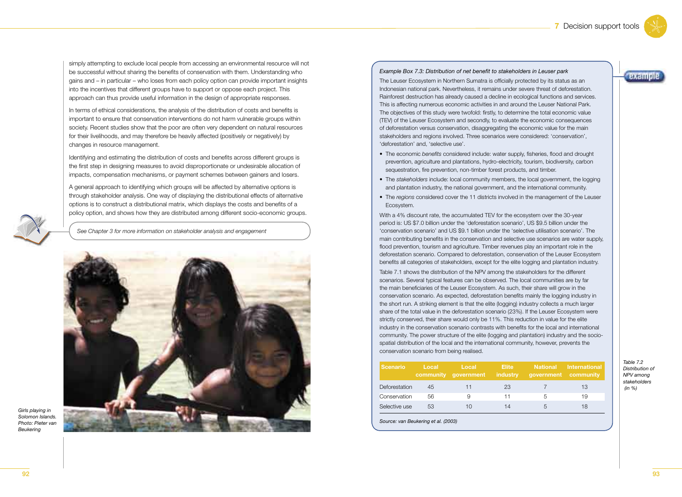**Dxample** 

simply attempting to exclude local people from accessing an environmental resource will not be successful without sharing the benefits of conservation with them. Understanding who gains and – in particular – who loses from each policy option can provide important insights into the incentives that different groups have to support or oppose each project. This approach can thus provide useful information in the design of appropriate responses.

In terms of ethical considerations, the analysis of the distribution of costs and benefits is important to ensure that conservation interventions do not harm vulnerable groups within society. Recent studies show that the poor are often very dependent on natural resources for their livelihoods, and may therefore be heavily affected (positively or negatively) by changes in resource management.

Identifying and estimating the distribution of costs and benefits across different groups is the first step in designing measures to avoid disproportionate or undesirable allocation of impacts, compensation mechanisms, or payment schemes between gainers and losers.

A general approach to identifying which groups will be affected by alternative options is through stakeholder analysis. One way of displaying the distributional effects of alternative options is to construct a distributional matrix, which displays the costs and benefits of a policy option, and shows how they are distributed among different socio-economic groups.

*See Chapter 3 for more information on stakeholder analysis and engagement*



#### *Example Box 7.3: Distribution of net benefit to stakeholders in Leuser park*

The Leuser Ecosystem in Northern Sumatra is officially protected by its status as an Indonesian national park. Nevertheless, it remains under severe threat of deforestation. Rainforest destruction has already caused a decline in ecological functions and services. This is affecting numerous economic activities in and around the Leuser National Park. The objectives of this study were twofold: firstly, to determine the total economic value (TEV) of the Leuser Ecosystem and secondly, to evaluate the economic consequences of deforestation versus conservation, disaggregating the economic value for the main stakeholders and regions involved. Three scenarios were considered: 'conservation', 'deforestation' and, 'selective use'.

- The economic *benefits* considered include: water supply, fisheries, flood and drought prevention, agriculture and plantations, hydro-electricity, tourism, biodiversity, carbon sequestration, fire prevention, non-timber forest products, and timber.
- The *stakeholders* include: local community members, the local government, the logging and plantation industry, the national government, and the international community.
- The *regions* considered cover the 11 districts involved in the management of the Leuser Ecosystem.

With a 4% discount rate, the accumulated TEV for the ecosystem over the 30-year period is: US \$7.0 billion under the 'deforestation scenario', US \$9.5 billion under the 'conservation scenario' and US \$9.1 billion under the 'selective utilisation scenario'. The main contributing benefits in the conservation and selective use scenarios are water supply, flood prevention, tourism and agriculture. Timber revenues play an important role in the deforestation scenario. Compared to deforestation, conservation of the Leuser Ecosystem benefits all categories of stakeholders, except for the elite logging and plantation industry.

Table 7.1 shows the distribution of the NPV among the stakeholders for the different scenarios. Several typical features can be observed. The local communities are by far the main beneficiaries of the Leuser Ecosystem. As such, their share will grow in the conservation scenario. As expected, deforestation benefits mainly the logging industry in the short run. A striking element is that the elite (logging) industry collects a much larger share of the total value in the deforestation scenario (23%). If the Leuser Ecosystem were strictly conserved, their share would only be 11%. This reduction in value for the elite industry in the conservation scenario contrasts with benefits for the local and international community. The power structure of the elite (logging and plantation) industry and the sociospatial distribution of the local and the international community, however, prevents the conservation scenario from being realised.

| <b>Scenario</b> | Local | Local<br>community government | <b>Elite</b><br>industry | government community | <b>National International</b> |
|-----------------|-------|-------------------------------|--------------------------|----------------------|-------------------------------|
| Deforestation   | 45    | 11                            | 23                       |                      | 13                            |
| Conservation    | 56    | 9                             | 11                       | .h                   | 19                            |
| Selective use   | 53    | 10                            | 14                       | .h                   | 18                            |

*Source: van Beukering et al. (2003)*

#### *Table 7.2 Distribution of NPV among stakeholders (in %)*

*Girls playing in Solomon Islands. Photo: Pieter van Beukering*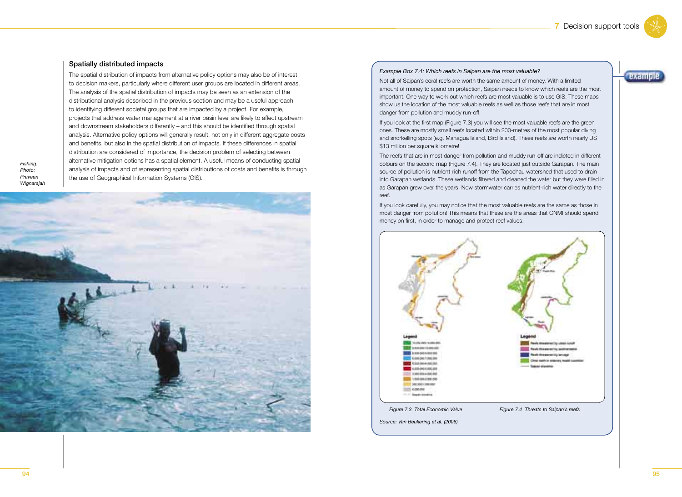example

#### Spatially distributed impacts

The spatial distribution of impacts from alternative policy options may also be of interest to decision makers, particularly where different user groups are located in different areas. The analysis of the spatial distribution of impacts may be seen as an extension of the distributional analysis described in the previous section and may be a useful approach to identifying different societal groups that are impacted by a project. For example, projects that address water management at a river basin level are likely to affect upstream and downstream stakeholders differently – and this should be identified through spatial analysis. Alternative policy options will generally result, not only in different aggregate costs and benefits, but also in the spatial distribution of impacts. If these differences in spatial distribution are considered of importance, the decision problem of selecting between alternative mitigation options has a spatial element. A useful means of conducting spatial analysis of impacts and of representing spatial distributions of costs and benefits is through the use of Geographical Information Systems (GIS).



#### *Example Box 7.4: Which reefs in Saipan are the most valuable?*

Not all of Saipan's coral reefs are worth the same amount of money. With a limited amount of money to spend on protection, Saipan needs to know which reefs are the most important. One way to work out which reefs are most valuable is to use GIS. These maps show us the location of the most valuable reefs as well as those reefs that are in most danger from pollution and muddy run-off.

If you look at the first map (Figure 7.3) you will see the most valuable reefs are the green ones. These are mostly small reefs located within 200-metres of the most popular diving and snorkelling spots (e.g. Managua Island, Bird Island). These reefs are worth nearly US \$13 million per square kilometre!

The reefs that are in most danger from pollution and muddy run-off are indicted in different colours on the second map (Figure 7.4). They are located just outside Garapan. The main source of pollution is nutrient-rich runoff from the Tapochau watershed that used to drain into Garapan wetlands. These wetlands filtered and cleaned the water but they were filled in as Garapan grew over the years. Now stormwater carries nutrient-rich water directly to the reef.

If you look carefully, you may notice that the most valuable reefs are the same as those in most danger from pollution! This means that these are the areas that CNMI should spend money on first, in order to manage and protect reef values.



*Fishing. Photo: Praveen Wignarajah*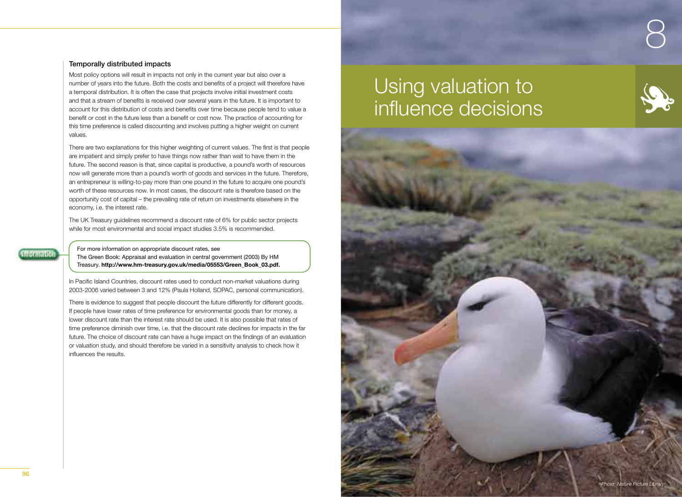#### Temporally distributed impacts

Most policy options will result in impacts not only in the current year but also over a number of years into the future. Both the costs and benefits of a project will therefore have a temporal distribution. It is often the case that projects involve initial investment costs and that a stream of benefits is received over several years in the future. It is important to account for this distribution of costs and benefits over time because people tend to value a benefit or cost in the future less than a benefit or cost now. The practice of accounting for this time preference is called discounting and involves putting a higher weight on current values.

There are two explanations for this higher weighting of current values. The first is that people are impatient and simply prefer to have things now rather than wait to have them in the future. The second reason is that, since capital is productive, a pound's worth of resources now will generate more than a pound's worth of goods and services in the future. Therefore, an entrepreneur is willing-to-pay more than one pound in the future to acquire one pound's worth of these resources now. In most cases, the discount rate is therefore based on the opportunity cost of capital – the prevailing rate of return on investments elsewhere in the economy, i.e. the interest rate.

The UK Treasury guidelines recommend a discount rate of 6% for public sector projects while for most environmental and social impact studies 3.5% is recommended.

**Information** 

For more information on appropriate discount rates, see The Green Book: Appraisal and evaluation in central government (2003) By HM Treasury. **http://www.hm-treasury.gov.uk/media/05553/Green\_Book\_03.pdf.**

In Pacific Island Countries, discount rates used to conduct non-market valuations during 2003-2006 varied between 3 and 12% (Paula Holland, SOPAC, personal communication).

There is evidence to suggest that people discount the future differently for different goods. If people have lower rates of time preference for environmental goods than for money, a lower discount rate than the interest rate should be used. It is also possible that rates of time preference diminish over time, i.e. that the discount rate declines for impacts in the far future. The choice of discount rate can have a huge impact on the findings of an evaluation or valuation study, and should therefore be varied in a sensitivity analysis to check how it influences the results.

# Using valuation to influence decisions



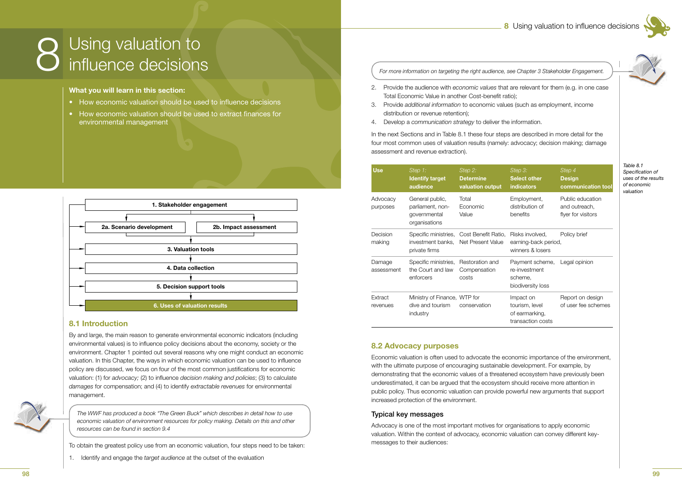

# Using valuation to influence decisions

#### What you will learn in this section:

- How economic valuation should be used to influence decisions
- How economic valuation should be used to extract finances for environmental management



#### 8.1 Introduction

By and large, the main reason to generate environmental economic indicators (including environmental values) is to influence policy decisions about the economy, society or the environment. Chapter 1 pointed out several reasons why one might conduct an economic valuation. In this Chapter, the ways in which economic valuation can be used to influence policy are discussed, we focus on four of the most common justifications for economic valuation: (1) for advocacy; (2) to influence decision making and policies; (3) to calculate damages for compensation; and (4) to identify extractable revenues for environmental management.



The WWF has produced a book "The Green Buck" which describes in detail how to use economic valuation of environment resources for policy making. Details on this and other resources can be found in section 9.4

To obtain the greatest policy use from an economic valuation, four steps need to be taken:

1. Identify and engage the target audience at the outset of the evaluation

For more information on targeting the right audience, see Chapter 3 Stakeholder Engagement.

- 2. Provide the audience with economic values that are relevant for them (e.g. in one case Total Economic Value in another Cost-benefit ratio):
- 3. Provide additional information to economic values (such as employment, income distribution or revenue retention);
- 4. Develop a communication strategy to deliver the information.

In the next Sections and in Table 8.1 these four steps are described in more detail for the four most common uses of valuation results (namely: advocacy; decision making; damage assessment and revenue extraction).

| <b>Use</b>           | Step 1:<br><b>Identify target</b><br>audience                        | Step 2:<br><b>Determine</b><br>valuation output               | Step 3:<br><b>Select other</b><br>indicators                       | Step 4<br><b>Design</b><br>communication tool           |
|----------------------|----------------------------------------------------------------------|---------------------------------------------------------------|--------------------------------------------------------------------|---------------------------------------------------------|
| Advocacy<br>purposes | General public,<br>parliament, non-<br>governmental<br>organisations | Total<br>Economic<br>Value                                    | Employment,<br>distribution of<br>benefits                         | Public education<br>and outreach,<br>flyer for visitors |
| Decision<br>making   | investment banks.<br>private firms                                   | Specific ministries, Cost Benefit Ratio,<br>Net Present Value | Risks involved,<br>earning-back period,<br>winners & losers        | Policy brief                                            |
| Damage<br>assessment | Specific ministries,<br>the Court and law<br>enforcers               | Restoration and<br>Compensation<br>costs                      | Payment scheme,<br>re-investment<br>scheme,<br>biodiversity loss   | Legal opinion                                           |
| Extract<br>revenues  | Ministry of Finance, WTP for<br>dive and tourism<br>industry         | conservation                                                  | Impact on<br>tourism, level<br>of earmarking,<br>transaction costs | Report on design<br>of user fee schemes                 |

#### **8.2 Advocacy purposes**

Economic valuation is often used to advocate the economic importance of the environment, with the ultimate purpose of encouraging sustainable development. For example, by demonstrating that the economic values of a threatened ecosystem have previously been underestimated, it can be argued that the ecosystem should receive more attention in public policy. Thus economic valuation can provide powerful new arguments that support increased protection of the environment.

#### **Typical key messages**

Advocacy is one of the most important motives for organisations to apply economic valuation. Within the context of advocacy, economic valuation can convey different keymessages to their audiences:

Table 8.1 Specification of uses of the results of economic valuation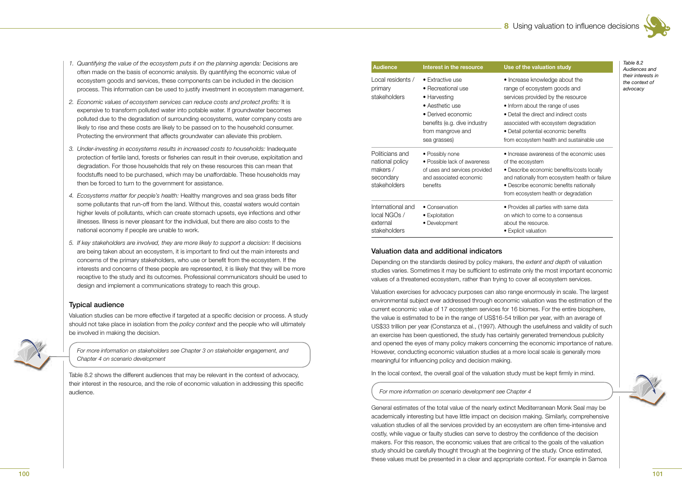- *1. Quantifying the value of the ecosystem puts it on the planning agenda:* Decisions are often made on the basis of economic analysis. By quantifying the economic value of ecosystem goods and services, these components can be included in the decision process. This information can be used to justify investment in ecosystem management.
- 2. Economic values of ecosystem services can reduce costs and protect profits: It is expensive to transform polluted water into potable water. If groundwater becomes polluted due to the degradation of surrounding ecosystems, water company costs are likely to rise and these costs are likely to be passed on to the household consumer. Protecting the environment that affects groundwater can alleviate this problem.
- *3. Under-investing in ecosystems results in increased costs to households:* Inadequate protection of fertile land, forests or fisheries can result in their overuse, exploitation and degradation. For those households that rely on these resources this can mean that foodstuffs need to be purchased, which may be unaffordable. These households may then be forced to turn to the government for assistance.
- 4. Ecosystems matter for people's health: Healthy mangroves and sea grass beds filter some pollutants that run-off from the land. Without this, coastal waters would contain higher levels of pollutants, which can create stomach upsets, eye infections and other illnesses. Illness is never pleasant for the individual, but there are also costs to the national economy if people are unable to work.
- *5. If key stakeholders are involved, they are more likely to support a decision:* If decisions are being taken about an ecosystem, it is important to find out the main interests and concerns of the primary stakeholders, who use or benefit from the ecosystem. If the interests and concerns of these people are represented, it is likely that they will be more receptive to the study and its outcomes. Professional communicators should be used to design and implement a communications strategy to reach this group.

#### Typical audience

Valuation studies can be more effective if targeted at a specific decision or process. A study should not take place in isolation from the *policy context* and the people who will ultimately be involved in making the decision.



*For more information on stakeholders see Chapter 3 on stakeholder engagement, and Chapter 4 on scenario development*

Table 8.2 shows the different audiences that may be relevant in the context of advocacy, their interest in the resource, and the role of economic valuation in addressing this specific audience.

| <b>Audience</b>                                                             | Interest in the resource                                                                                                                                             | Use of the valuation study                                                                                                                                                                                                                                                                                      |
|-----------------------------------------------------------------------------|----------------------------------------------------------------------------------------------------------------------------------------------------------------------|-----------------------------------------------------------------------------------------------------------------------------------------------------------------------------------------------------------------------------------------------------------------------------------------------------------------|
| Local residents /<br>primary<br>stakeholders                                | • Extractive use<br>• Recreational use<br>• Harvesting<br>• Aesthetic use<br>• Derived economic<br>benefits (e.g. dive industry<br>from mangrove and<br>sea grasses) | • Increase knowledge about the<br>range of ecosystem goods and<br>services provided by the resource<br>• Inform about the range of uses<br>• Detail the direct and indirect costs<br>associated with ecosystem degradation<br>• Detail potential economic benefits<br>from ecosystem health and sustainable use |
| Politicians and<br>national policy<br>makers /<br>secondary<br>stakeholders | • Possibly none<br>• Possible lack of awareness<br>of uses and services provided<br>and associated economic<br>benefits                                              | • Increase awareness of the economic uses<br>of the ecosystem<br>• Describe economic benefits/costs locally<br>and nationally from ecosystem health or failure<br>• Describe economic benefits nationally                                                                                                       |
| International and<br>local NGOs /<br>external<br>stakeholders               | • Conservation<br>• Exploitation<br>• Development                                                                                                                    | from ecosystem health or degradation<br>• Provides all parties with same data<br>on which to come to a consensus<br>about the resource.<br>• Explicit valuation                                                                                                                                                 |

#### Valuation data and additional indicators

Depending on the standards desired by policy makers, the *extent and depth* of valuation studies varies. Sometimes it may be sufficient to estimate only the most important economic values of a threatened ecosystem, rather than trying to cover all ecosystem services.

Valuation exercises for advocacy purposes can also range enormously in scale. The largest environmental subject ever addressed through economic valuation was the estimation of the current economic value of 17 ecosystem services for 16 biomes. For the entire biosphere, the value is estimated to be in the range of US\$16-54 trillion per year, with an average of US\$33 trillion per year (Constanza et al., (1997). Although the usefulness and validity of such an exercise has been questioned, the study has certainly generated tremendous publicity and opened the eyes of many policy makers concerning the economic importance of nature. However, conducting economic valuation studies at a more local scale is generally more meaningful for influencing policy and decision making.

In the local context, the overall goal of the valuation study must be kept firmly in mind.

*For more information on scenario development see Chapter 4*

General estimates of the total value of the nearly extinct Mediterranean Monk Seal may be academically interesting but have little impact on decision making. Similarly, comprehensive valuation studies of all the services provided by an ecosystem are often time-intensive and costly, while vague or faulty studies can serve to destroy the confidence of the decision makers. For this reason, the economic values that are critical to the goals of the valuation study should be carefully thought through at the beginning of the study. Once estimated, these values must be presented in a clear and appropriate context. For example in Samoa

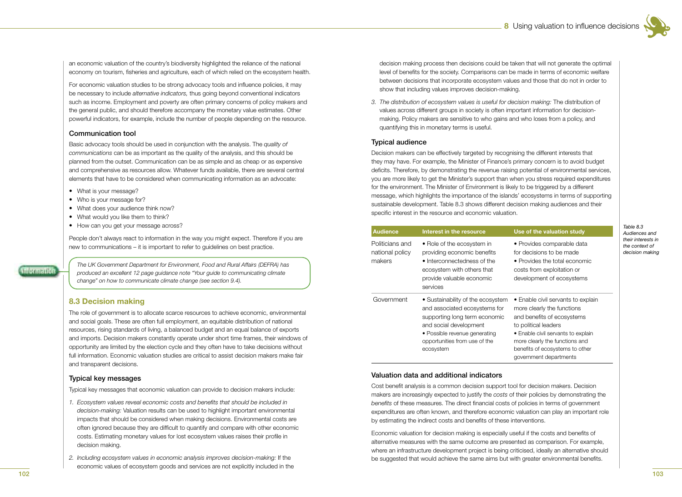*Table 8.3 Audiences and their interests in the context of decision making*

an economic valuation of the country's biodiversity highlighted the reliance of the national economy on tourism, fisheries and agriculture, each of which relied on the ecosystem health.

For economic valuation studies to be strong advocacy tools and influence policies, it may be necessary to include *alternative indicators,* thus going beyond conventional indicators such as income. Employment and poverty are often primary concerns of policy makers and the general public, and should therefore accompany the monetary value estimates. Other powerful indicators, for example, include the number of people depending on the resource.

#### Communication tool

Basic advocacy tools should be used in conjunction with the analysis. The *quality of communications* can be as important as the quality of the analysis, and this should be planned from the outset. Communication can be as simple and as cheap or as expensive and comprehensive as resources allow. Whatever funds available, there are several central elements that have to be considered when communicating information as an advocate:

- What is your message?
- Who is your message for?
- What does your audience think now?
- What would you like them to think?
- How can you get your message across?

People don't always react to information in the way you might expect. Therefore if you are new to communications – it is important to refer to guidelines on best practice.

*The UK Government Department for Environment, Food and Rural Affairs (DEFRA) has produced an excellent 12 page guidance note "Your guide to communicating climate change" on how to communicate climate change (see section 9.4).*

#### **8.3 Decision making**

The role of government is to allocate scarce resources to achieve economic, environmental and social goals. These are often full employment, an equitable distribution of national resources, rising standards of living, a balanced budget and an equal balance of exports and imports. Decision makers constantly operate under short time frames, their windows of opportunity are limited by the election cycle and they often have to take decisions without full information. Economic valuation studies are critical to assist decision makers make fair and transparent decisions.

#### Typical key messages

Typical key messages that economic valuation can provide to decision makers include:

- 1. Ecosystem values reveal economic costs and benefits that should be included in *decision-making:* Valuation results can be used to highlight important environmental impacts that should be considered when making decisions. Environmental costs are often ignored because they are difficult to quantify and compare with other economic costs. Estimating monetary values for lost ecosystem values raises their profile in decision making.
- *2. Including ecosystem values in economic analysis improves decision-making:* If the economic values of ecosystem goods and services are not explicitly included in the

decision making process then decisions could be taken that will not generate the optimal level of benefits for the society. Comparisons can be made in terms of economic welfare between decisions that incorporate ecosystem values and those that do not in order to show that including values improves decision-making.

*3. The distribution of ecosystem values is useful for decision making:* The distribution of values across different groups in society is often important information for decisionmaking. Policy makers are sensitive to who gains and who loses from a policy, and quantifying this in monetary terms is useful.

#### Typical audience

Decision makers can be effectively targeted by recognising the different interests that they may have. For example, the Minister of Finance's primary concern is to avoid budget deficits. Therefore, by demonstrating the revenue raising potential of environmental services, you are more likely to get the Minister's support than when you stress required expenditures for the environment. The Minister of Environment is likely to be triggered by a different message, which highlights the importance of the islands' ecosystems in terms of supporting sustainable development. Table 8.3 shows different decision making audiences and their specific interest in the resource and economic valuation.

| <b>Audience</b>                              | Interest in the resource                                                                                                                                                                                     | Use of the valuation study                                                                                                                                                                                                                                  |
|----------------------------------------------|--------------------------------------------------------------------------------------------------------------------------------------------------------------------------------------------------------------|-------------------------------------------------------------------------------------------------------------------------------------------------------------------------------------------------------------------------------------------------------------|
| Politicians and<br>national policy<br>makers | • Role of the ecosystem in<br>providing economic benefits<br>• Interconnectedness of the<br>ecosystem with others that<br>provide valuable economic<br>services                                              | • Provides comparable data<br>for decisions to be made<br>• Provides the total economic<br>costs from exploitation or<br>development of ecosystems                                                                                                          |
| Government                                   | • Sustainability of the ecosystem<br>and associated ecosystems for<br>supporting long term economic<br>and social development<br>• Possible revenue generating<br>opportunities from use of the<br>ecosystem | • Enable civil servants to explain<br>more clearly the functions<br>and benefits of ecosystems<br>to political leaders<br>• Enable civil servants to explain<br>more clearly the functions and<br>benefits of ecosystems to other<br>government departments |

#### Valuation data and additional indicators

Cost benefit analysis is a common decision support tool for decision makers. Decision makers are increasingly expected to justify the *costs* of their policies by demonstrating the *benefits* of these measures. The direct financial costs of policies in terms of government expenditures are often known, and therefore economic valuation can play an important role by estimating the indirect costs and benefits of these interventions.

Economic valuation for decision making is especially useful if the costs and benefits of alternative measures with the same outcome are presented as comparison. For example, where an infrastructure development project is being criticised, ideally an alternative should be suggested that would achieve the same aims but with greater environmental benefits.

**Information**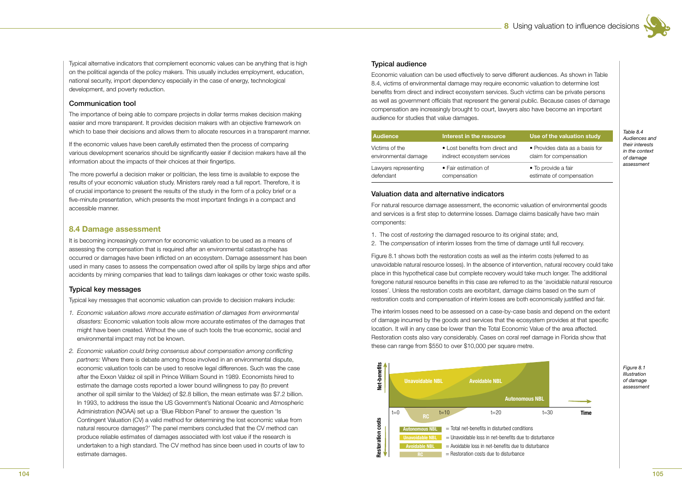

Typical alternative indicators that complement economic values can be anything that is high on the political agenda of the policy makers. This usually includes employment, education, national security, import dependency especially in the case of energy, technological development, and poverty reduction.

#### Communication tool

The importance of being able to compare projects in dollar terms makes decision making easier and more transparent. It provides decision makers with an objective framework on which to base their decisions and allows them to allocate resources in a transparent manner.

If the economic values have been carefully estimated then the process of comparing various development scenarios should be significantly easier if decision makers have all the information about the impacts of their choices at their fingertips.

The more powerful a decision maker or politician, the less time is available to expose the results of your economic valuation study. Ministers rarely read a full report. Therefore, it is of crucial importance to present the results of the study in the form of a policy brief or a five-minute presentation, which presents the most important findings in a compact and accessible manner.

#### **8.4 Damage assessment**

It is becoming increasingly common for economic valuation to be used as a means of assessing the compensation that is required after an environmental catastrophe has occurred or damages have been inflicted on an ecosystem. Damage assessment has been used in many cases to assess the compensation owed after oil spills by large ships and after accidents by mining companies that lead to tailings dam leakages or other toxic waste spills.

#### **Typical key messages**

Typical key messages that economic valuation can provide to decision makers include:

- 1. Economic valuation allows more accurate estimation of damages from environmental disasters: Economic valuation tools allow more accurate estimates of the damages that might have been created. Without the use of such tools the true economic, social and environmental impact may not be known.
- 2. Economic valuation could bring consensus about compensation among conflicting partners: Where there is debate among those involved in an environmental dispute, economic valuation tools can be used to resolve legal differences. Such was the case after the Exxon Valdez oil spill in Prince William Sound in 1989. Economists hired to estimate the damage costs reported a lower bound willingness to pay (to prevent another oil spill similar to the Valdez) of \$2.8 billion, the mean estimate was \$7.2 billion. In 1993, to address the issue the US Government's National Oceanic and Atmospheric Administration (NOAA) set up a 'Blue Ribbon Panel' to answer the question 'Is Contingent Valuation (CV) a valid method for determining the lost economic value from natural resource damages?' The panel members concluded that the CV method can produce reliable estimates of damages associated with lost value if the research is undertaken to a high standard. The CV method has since been used in courts of law to estimate damages.

#### **Typical audience**

Economic valuation can be used effectively to serve different audiences. As shown in Table 8.4, victims of environmental damage may require economic valuation to determine lost benefits from direct and indirect ecosystem services. Such victims can be private persons as well as government officials that represent the general public. Because cases of damage compensation are increasingly brought to court, lawyers also have become an important audience for studies that value damages.

| <b>Audience</b>      | Interest in the resource        | Use of the valuation study     |
|----------------------|---------------------------------|--------------------------------|
| Victims of the       | • Lost benefits from direct and | • Provides data as a basis for |
| environmental damage | indirect ecosystem services     | claim for compensation         |
| Lawyers representing | • Fair estimation of            | • To provide a fair            |
| defendant            | compensation                    | estimate of compensation       |

 $Table 8A$ Audiences and their interests in the context of damage assessment

#### Valuation data and alternative indicators

For natural resource damage assessment, the economic valuation of environmental goods and services is a first step to determine losses. Damage claims basically have two main components:

- 1. The cost of restoring the damaged resource to its original state; and,
- 2. The compensation of interim losses from the time of damage until full recovery.

Figure 8.1 shows both the restoration costs as well as the interim costs (referred to as unavoidable natural resource losses). In the absence of intervention, natural recovery could take place in this hypothetical case but complete recovery would take much longer. The additional foregone natural resource benefits in this case are referred to as the 'avoidable natural resource losses'. Unless the restoration costs are exorbitant, damage claims based on the sum of restoration costs and compensation of interim losses are both economically justified and fair.

The interim losses need to be assessed on a case-by-case basis and depend on the extent of damage incurred by the goods and services that the ecosystem provides at that specific location. It will in any case be lower than the Total Economic Value of the area affected. Restoration costs also vary considerably. Cases on coral reef damage in Florida show that these can range from \$550 to over \$10,000 per square metre.



Figure 8.1 Illustration of damage assessment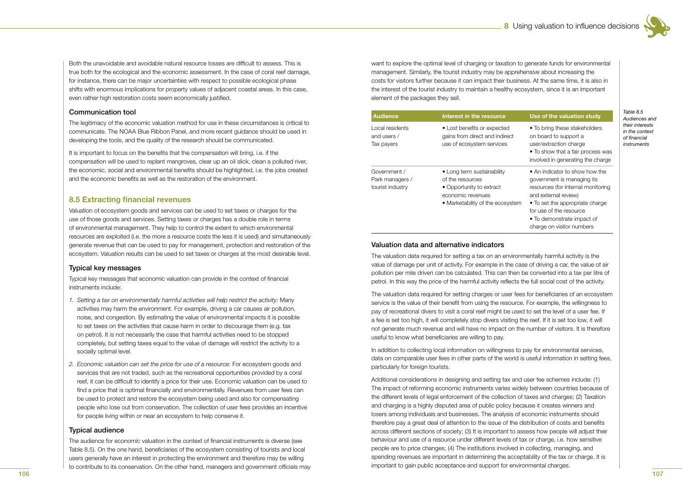

Both the unavoidable and avoidable natural resource losses are difficult to assess. This is true both for the ecological and the economic assessment. In the case of coral reef damage, for instance, there can be major uncertainties with respect to possible ecological phase shifts with enormous implications for property values of adjacent coastal areas. In this case, even rather high restoration costs seem economically justified.

#### Communication tool

The legitimacy of the economic valuation method for use in these circumstances is critical to communicate. The NOAA Blue Ribbon Panel, and more recent guidance should be used in developing the tools, and the quality of the research should be communicated.

It is important to focus on the benefits that the compensation will bring, i.e. if the compensation will be used to replant mangroves, clear up an oil slick, clean a polluted river, the economic, social and environmental benefits should be highlighted, i.e. the jobs created and the economic benefits as well as the restoration of the environment.

#### **8.5 Extracting financial revenues**

Valuation of ecosystem goods and services can be used to set taxes or charges for the use of those goods and services. Setting taxes or charges has a double role in terms of environmental management. They help to control the extent to which environmental resources are exploited (i.e. the more a resource costs the less it is used) and simultaneously generate revenue that can be used to pay for management, protection and restoration of the ecosystem. Valuation results can be used to set taxes or charges at the most desirable level.

#### Typical key messages

Typical key messages that economic valuation can provide in the context of financial instruments include:

- *1. Setting a tax on environmentally harmful activities will help restrict the activity:* Many activities may harm the environment. For example, driving a car causes air pollution, noise, and congestion. By estimating the value of environmental impacts it is possible to set taxes on the activities that cause harm in order to discourage them (e.g. tax on petrol). It is not necessarily the case that harmful activities need to be stopped completely, but setting taxes equal to the value of damage will restrict the activity to a socially optimal level.
- *2. Economic valuation can set the price for use of a resource:* For ecosystem goods and services that are not traded, such as the recreational opportunities provided by a coral reef, it can be difficult to identify a price for their use. Economic valuation can be used to find a price that is optimal financially and environmentally. Revenues from user fees can be used to protect and restore the ecosystem being used and also for compensating people who lose out from conservation. The collection of user fees provides an incentive for people living within or near an ecosystem to help conserve it.

#### Typical audience

The audience for economic valuation in the context of financial instruments is diverse (see Table 8.5). On the one hand, beneficiaries of the ecosystem consisting of tourists and local users generally have an interest in protecting the environment and therefore may be willing to contribute to its conservation. On the other hand, managers and government officials may want to explore the optimal level of charging or taxation to generate funds for environmental management. Similarly, the tourist industry may be apprehensive about increasing the costs for visitors further because it can impact their business. At the same time, it is also in the interest of the tourist industry to maintain a healthy ecosystem, since it is an important element of the packages they sell.

| <b>Audience</b>                                     | Interest in the resource                                                                                                            | Use of the valuation study                                                                                                                                                                                                                          |
|-----------------------------------------------------|-------------------------------------------------------------------------------------------------------------------------------------|-----------------------------------------------------------------------------------------------------------------------------------------------------------------------------------------------------------------------------------------------------|
| Local residents<br>and users /<br>Tax payers        | • Lost benefits or expected<br>gains from direct and indirect<br>use of ecosystem services                                          | • To bring these stakeholders<br>on board to support a<br>user/extraction charge<br>• To show that a fair process was<br>involved in generating the charge                                                                                          |
| Government /<br>Park managers /<br>tourist industry | • Long term sustainability<br>of the resources<br>• Opportunity to extract<br>economic revenues<br>• Marketability of the ecosystem | • An indicator to show how the<br>government is managing its<br>resources (for internal monitoring<br>and external review)<br>• To set the appropriate charge<br>for use of the resource<br>• To demonstrate impact of<br>charge on visitor numbers |

#### Valuation data and alternative indicators

The valuation data required for setting a tax on an environmentally harmful activity is the value of damage per unit of activity. For example in the case of driving a car, the value of air pollution per mile driven can be calculated. This can then be converted into a tax per litre of petrol. In this way the price of the harmful activity reflects the full social cost of the activity.

The valuation data required for setting charges or user fees for beneficiaries of an ecosystem service is the value of their benefit from using the resource. For example, the willingness to pay of recreational divers to visit a coral reef might be used to set the level of a user fee. If a fee is set too high, it will completely stop divers visiting the reef. If it is set too low, it will not generate much revenue and will have no impact on the number of visitors. It is therefore useful to know what beneficiaries are willing to pay.

In addition to collecting local information on willingness to pay for environmental services, data on comparable user fees in other parts of the world is useful information in setting fees, particularly for foreign tourists.

Additional considerations in designing and setting tax and user fee schemes include: (1) The impact of reforming economic instruments varies widely between countries because of the different levels of legal enforcement of the collection of taxes and charges; (2) Taxation and charging is a highly disputed area of public policy because it creates winners and losers among individuals and businesses. The analysis of economic instruments should therefore pay a great deal of attention to the issue of the distribution of costs and benefits across different sections of society; (3) It is important to assess how people will adjust their behaviour and use of a resource under different levels of tax or charge, i.e. how sensitive people are to price changes; (4) The institutions involved in collecting, managing, and spending revenues are important in determining the acceptability of the tax or charge. It is important to gain public acceptance and support for environmental charges.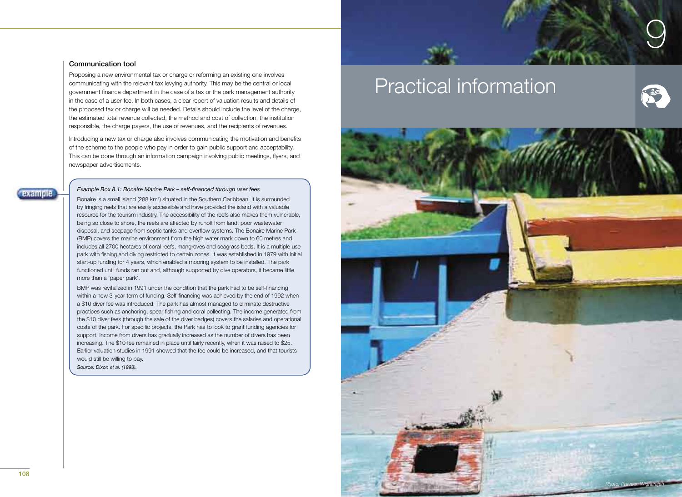# 9

#### Communication tool

Proposing a new environmental tax or charge or reforming an existing one involves communicating with the relevant tax levying authority. This may be the central or local government finance department in the case of a tax or the park management authority in the case of a user fee. In both cases, a clear report of valuation results and details of the proposed tax or charge will be needed. Details should include the level of the charge, the estimated total revenue collected, the method and cost of collection, the institution responsible, the charge payers, the use of revenues, and the recipients of revenues.

Introducing a new tax or charge also involves communicating the motivation and benefits of the scheme to the people who pay in order to gain public support and acceptability. This can be done through an information campaign involving public meetings, flyers, and newspaper advertisements.

#### *Example Box 8.1: Bonaire Marine Park – self-financed through user fees*

Bonaire is a small island (288 km2 ) situated in the Southern Caribbean. It is surrounded by fringing reefs that are easily accessible and have provided the island with a valuable resource for the tourism industry. The accessibility of the reefs also makes them vulnerable, being so close to shore, the reefs are affected by runoff from land, poor wastewater disposal, and seepage from septic tanks and overflow systems. The Bonaire Marine Park (BMP) covers the marine environment from the high water mark down to 60 metres and includes all 2700 hectares of coral reefs, mangroves and seagrass beds. It is a multiple use park with fishing and diving restricted to certain zones. It was established in 1979 with initial start-up funding for 4 years, which enabled a mooring system to be installed. The park functioned until funds ran out and, although supported by dive operators, it became little more than a 'paper park'.

BMP was revitalized in 1991 under the condition that the park had to be self-financing within a new 3-year term of funding. Self-financing was achieved by the end of 1992 when a \$10 diver fee was introduced. The park has almost managed to eliminate destructive practices such as anchoring, spear fishing and coral collecting. The income generated from the \$10 diver fees (through the sale of the diver badges) covers the salaries and operational costs of the park. For specific projects, the Park has to look to grant funding agencies for support. Income from divers has gradually increased as the number of divers has been increasing. The \$10 fee remained in place until fairly recently, when it was raised to \$25. Earlier valuation studies in 1991 showed that the fee could be increased, and that tourists would still be willing to pay.

*Source: Dixon et al. (1993).*

# Practical information





**Daample**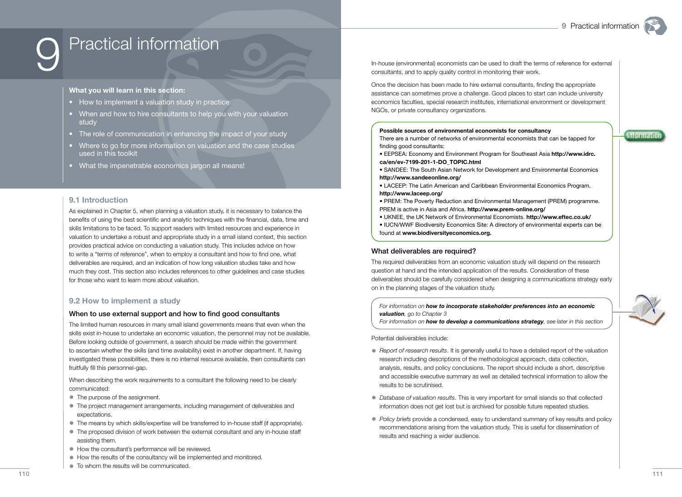# Practical information

#### **What you will learn in this section:**

- How to implement a valuation study in practice
- When and how to hire consultants to help you with your valuation study
- The role of communication in enhancing the impact of your study
- Where to go for more information on valuation and the case studies used in this toolkit
- What the impenetrable economics jargon all means!

#### **9.1 Introduction**

As explained in Chapter 5, when planning a valuation study, it is necessary to balance the benefits of using the best scientific and analytic techniques with the financial, data, time and skills limitations to be faced. To support readers with limited resources and experience in valuation to undertake a robust and appropriate study in a small island context, this section provides practical advice on conducting a valuation study. This includes advice on how to write a "terms of reference", when to employ a consultant and how to find one, what deliverables are required, and an indication of how long valuation studies take and how much they cost. This section also includes references to other guidelines and case studies for those who want to learn more about valuation.

#### **9.2 How to implement a study**

#### When to use external support and how to find good consultants

The limited human resources in many small island governments means that even when the skills exist in-house to undertake an economic valuation, the personnel may not be available. Before looking outside of government, a search should be made within the government to ascertain whether the skills (and time availability) exist in another department. If, having investigated these possibilities, there is no internal resource available, then consultants can fruitfully fill this personnel-gap.

When describing the work requirements to a consultant the following need to be clearly communicated:

- The purpose of the assignment.
- The project management arrangements, including management of deliverables and expectations.
- The means by which skills/expertise will be transferred to in-house staff (if appropriate).
- The proposed division of work between the external consultant and any in-house staff assisting them.
- How the consultant's performance will be reviewed.
- How the results of the consultancy will be implemented and monitored.
- To whom the results will be communicated.

In-house (environmental) economists can be used to draft the terms of reference for external consultants, and to apply quality control in monitoring their work.

Once the decision has been made to hire external consultants, finding the appropriate assistance can sometimes prove a challenge. Good places to start can include university economics faculties, special research institutes, international environment or development NGOs, or private consultancy organizations.

#### **Possible sources of environmental economists for consultancy**

There are a number of networks of environmental economists that can be tapped for finding good consultants:

- EEPSEA: Economy and Environment Program for Southeast Asia **http://www.idrc. ca/en/ev-7199-201-1-DO\_TOPIC.html**
- SANDEE: The South Asian Network for Development and Environmental Economics **http://www.sandeeonline.org/**
- LACEEP: The Latin American and Caribbean Environmental Economics Program. **http://www.laceep.org/**
- PREM: The Poverty Reduction and Environmental Management (PREM) programme. PREM is active in Asia and Africa. **http://www.prem-online.org/**
- UKNEE, the UK Network of Environmental Economists. **http://www.eftec.co.uk/**
- IUCN/WWF Biodiversity Economics Site: A directory of environmental experts can be
- found at **www.biodiversityeconomics.org.**

#### What deliverables are required?

The required deliverables from an economic valuation study will depend on the research question at hand and the intended application of the results. Consideration of these deliverables should be carefully considered when designing a communications strategy early on in the planning stages of the valuation study.

#### *For information on how to incorporate stakeholder preferences into an economic valuation, go to Chapter 3*

*For information on how to develop a communications strategy, see later in this section*

Potential deliverables include:

- *Report of research results*. It is generally useful to have a detailed report of the valuation research including descriptions of the methodological approach, data collection, analysis, results, and policy conclusions. The report should include a short, descriptive and accessible executive summary as well as detailed technical information to allow the results to be scrutinised.
- *Database of valuation results*. This is very important for small islands so that collected information does not get lost but is archived for possible future repeated studies.
- *Policy briefs* provide a condensed, easy to understand summary of key results and policy recommendations arising from the valuation study. This is useful for dissemination of results and reaching a wider audience.



**Anformation**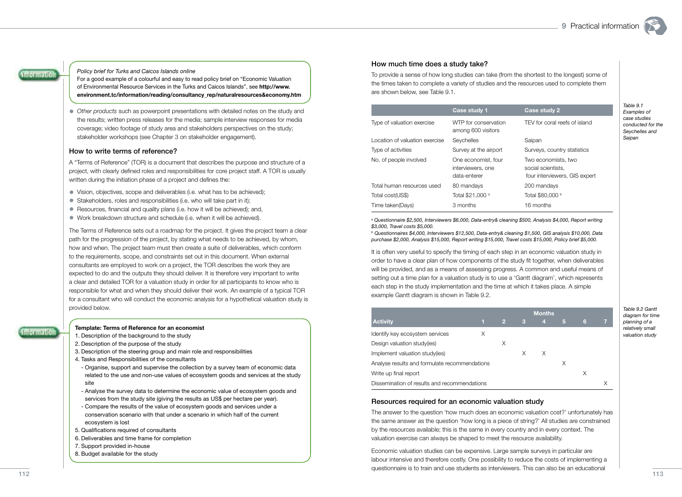*Table 9.1 Examples of case studies conducted for the Seychelles and Saipan*



#### *Policy brief for Turks and Caicos Islands online*

For a good example of a colourful and easy to read policy brief on "Economic Valuation of Environmental Resource Services in the Turks and Caicos Islands", see **http://www. environment.tc/information/reading/consultancy\_rep/naturalresources&economy.htm**

• *Other products* such as powerpoint presentations with detailed notes on the study and the results; written press releases for the media; sample interview responses for media coverage; video footage of study area and stakeholders perspectives on the study; stakeholder workshops (see Chapter 3 on stakeholder engagement).

#### How to write terms of reference?

A "Terms of Reference" (TOR) is a document that describes the purpose and structure of a project, with clearly defined roles and responsibilities for core project staff. A TOR is usually written during the initiation phase of a project and defines the:

- Vision, objectives, scope and deliverables (i.e. what has to be achieved);
- Stakeholders, roles and responsibilities (i.e. who will take part in it);
- $\bullet$  Resources, financial and quality plans (i.e. how it will be achieved); and,
- Work breakdown structure and schedule (i.e. when it will be achieved).

The Terms of Reference sets out a roadmap for the project. It gives the project team a clear path for the progression of the project, by stating what needs to be achieved, by whom, how and when. The project team must then create a suite of deliverables, which conform to the requirements, scope, and constraints set out in this document. When external consultants are employed to work on a project, the TOR describes the work they are expected to do and the outputs they should deliver. It is therefore very important to write a clear and detailed TOR for a valuation study in order for all participants to know who is responsible for what and when they should deliver their work. An example of a typical TOR for a consultant who will conduct the economic analysis for a hypothetical valuation study is provided below.

#### **Template: Terms of Reference for an economist**

- 1. Description of the background to the study
- 2. Description of the purpose of the study
- 3. Description of the steering group and main role and responsibilities
- 4. Tasks and Responsibilities of the consultants
- Organise, support and supervise the collection by a survey team of economic data related to the use and non-use values of ecosystem goods and services at the study site
- Analyse the survey data to determine the economic value of ecosystem goods and services from the study site (giving the results as US\$ per hectare per year).
- Compare the results of the value of ecosystem goods and services under a conservation scenario with that under a scenario in which half of the current ecosystem is lost
- 5. Qualifications required of consultants
- 6. Deliverables and time frame for completion
- 7. Support provided in-house
- 8. Budget available for the study

#### How much time does a study take?

To provide a sense of how long studies can take (from the shortest to the longest) some of the times taken to complete a variety of studies and the resources used to complete them are shown below, see Table 9.1.

|                                | Case study 1                                             | Case study 2                                                               |
|--------------------------------|----------------------------------------------------------|----------------------------------------------------------------------------|
| Type of valuation exercise     | WTP for conservation<br>among 600 visitors               | TEV for coral reefs of island                                              |
| Location of valuation exercise | Seychelles                                               | Saipan                                                                     |
| Type of activities             | Survey at the airport                                    | Surveys, country statistics                                                |
| No. of people involved         | One economist, four<br>interviewers, one<br>data-enterer | Two economists, two<br>social scientists.<br>four interviewers, GIS expert |
| Total human resources used     | 80 mandays                                               | 200 mandays                                                                |
| Total cost(US\$)               | Total \$21,000 a                                         | Total \$80,000 b                                                           |
| Time taken(Days)               | 3 months                                                 | 16 months                                                                  |

*a Questionnaire \$2,500, Interviewers \$6,000, Data-entry& cleaning \$500, Analysis \$4,000, Report writing \$3,000, Travel costs \$5,000.*

*b Questionnaires \$4,000, Interviewers \$12,500, Data-entry& cleaning \$1,500, GIS analysis \$10,000, Data purchase \$2,000, Analysis \$15,000, Report writing \$15,000, Travel costs \$15,000, Policy brief \$5,000.*

It is often very useful to specify the timing of each step in an economic valuation study in order to have a clear plan of how components of the study fit together, when deliverables will be provided, and as a means of assessing progress. A common and useful means of setting out a time plan for a valuation study is to use a 'Gantt diagram', which represents each step in the study implementation and the time at which it takes place. A simple example Gantt diagram is shown in Table 9.2.

|                                               |   |                |   | <b>Months</b> |   |   |  |
|-----------------------------------------------|---|----------------|---|---------------|---|---|--|
| <b>Activity</b>                               | T | $\overline{2}$ | 3 | 4             | 5 | 6 |  |
| Identify key ecosystem services               | X |                |   |               |   |   |  |
| Design valuation study(ies)                   |   | Χ              |   |               |   |   |  |
| Implement valuation study(ies)                |   |                | X | X             |   |   |  |
| Analyse results and formulate recommendations |   |                |   |               | X |   |  |
| Write up final report                         |   |                |   |               |   |   |  |
| Dissemination of results and recommendations  |   |                |   |               |   |   |  |

#### Resources required for an economic valuation study

The answer to the question 'how much does an economic valuation cost?' unfortunately has the same answer as the question 'how long is a piece of string?' All studies are constrained by the resources available; this is the same in every country and in every context. The valuation exercise can always be shaped to meet the resource availability.

Economic valuation studies can be expensive. Large sample surveys in particular are labour intensive and therefore costly. One possibility to reduce the costs of implementing a questionnaire is to train and use students as interviewers. This can also be an educational

*Table 9.2 Gantt diagram for time planning of a relatively small valuation study*

**Information**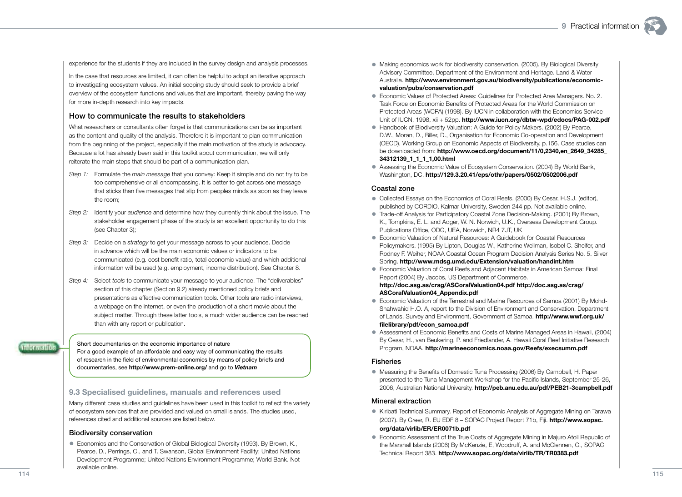experience for the students if they are included in the survey design and analysis processes.

In the case that resources are limited, it can often be helpful to adopt an iterative approach to investigating ecosystem values. An initial scoping study should seek to provide a brief overview of the ecosystem functions and values that are important, thereby paving the way for more in-depth research into key impacts.

#### How to communicate the results to stakeholders

What researchers or consultants often forget is that communications can be as important as the content and quality of the analysis. Therefore it is important to plan communication from the beginning of the project, especially if the main motivation of the study is advocacy. Because a lot has already been said in this toolkit about communication, we will only reiterate the main steps that should be part of a communication plan.

- *Step 1:* Formulate the *main message* that you convey: Keep it simple and do not try to be too comprehensive or all encompassing. It is better to get across one message that sticks than five messages that slip from peoples minds as soon as they leave the room;
- *Step 2:* Identify your *audience* and determine how they currently think about the issue. The stakeholder engagement phase of the study is an excellent opportunity to do this (see Chapter 3);
- *Step 3:* Decide on a *strategy* to get your message across to your audience. Decide in advance which will be the main economic values or indicators to be communicated (e.g. cost benefit ratio, total economic value) and which additional information will be used (e.g. employment, income distribution). See Chapter 8.
- *Step 4:* Select *tools* to communicate your message to your audience. The "deliverables" section of this chapter (Section 9.2) already mentioned policy briefs and presentations as effective communication tools. Other tools are radio interviews, a webpage on the internet, or even the production of a short movie about the subject matter. Through these latter tools, a much wider audience can be reached than with any report or publication.

Short documentaries on the economic importance of nature For a good example of an affordable and easy way of communicating the results of research in the field of environmental economics by means of policy briefs and documentaries, see **http://www.prem-online.org/** and go to *Vietnam*

#### **9.3 Specialised guidelines, manuals and references used**

Many different case studies and guidelines have been used in this toolkit to reflect the variety of ecosystem services that are provided and valued on small islands. The studies used, references cited and additional sources are listed below.

#### Biodiversity conservation

• Economics and the Conservation of Global Biological Diversity (1993). By Brown, K., Pearce, D., Perrings, C., and T. Swanson, Global Environment Facility; United Nations Development Programme; United Nations Environment Programme; World Bank. Not available online.

- Making economics work for biodiversity conservation. (2005). By Biological Diversity Advisory Committee, Department of the Environment and Heritage. Land & Water Australia. **http://www.environment.gov.au/biodiversity/publications/economicvaluation/pubs/conservation.pdf**
- Economic Values of Protected Areas: Guidelines for Protected Area Managers. No. 2. Task Force on Economic Benefits of Protected Areas for the World Commission on Protected Areas (WCPA) (1998). By IUCN in collaboration with the Economics Service Unit of IUCN, 1998, xii + 52pp. **http://www.iucn.org/dbtw-wpd/edocs/PAG-002.pdf**
- Handbook of Biodiversity Valuation: A Guide for Policy Makers. (2002) By Pearce, D.W., Moran, D., Biller, D., Organisation for Economic Co-operation and Development (OECD), Working Group on Economic Aspects of Biodiversity. p.156. Case studies can be downloaded from: **http://www.oecd.org/document/11/0,2340,en\_2649\_34285\_ 34312139\_1\_1\_1\_1,00.html**
- Assessing the Economic Value of Ecosystem Conservation. (2004) By World Bank, Washington, DC. **http://129.3.20.41/eps/othr/papers/0502/0502006.pdf**

#### Coastal zone

- Collected Essays on the Economics of Coral Reefs. (2000) By Cesar, H.S.J. (editor), published by CORDIO, Kalmar University, Sweden 244 pp. Not available online.
- Trade-off Analysis for Participatory Coastal Zone Decision-Making. (2001) By Brown, K., Tompkins, E. L. and Adger, W. N. Norwich, U.K., Overseas Development Group. Publications Office, ODG, UEA, Norwich, NR4 7JT, UK
- Economic Valuation of Natural Resources: A Guidebook for Coastal Resources Policymakers. (1995) By Lipton, Douglas W., Katherine Wellman, Isobel C. Sheifer, and Rodney F. Weiher, NOAA Coastal Ocean Program Decision Analysis Series No. 5. Silver Spring. **http://www.mdsg.umd.edu/Extension/valuation/handint.htm**
- Economic Valuation of Coral Reefs and Adjacent Habitats in American Samoa: Final Report (2004) By Jacobs, US Department of Commerce. **http://doc.asg.as/crag/ASCoralValuation04.pdf http://doc.asg.as/crag/ ASCoralValuation04\_Appendix.pdf**
- Economic Valuation of the Terrestrial and Marine Resources of Samoa (2001) By Mohd-Shahwahid H.O. A, report to the Division of Environment and Conservation, Department of Lands, Survey and Environment, Government of Samoa. **http://www.wwf.org.uk/ fi lelibrary/pdf/econ\_samoa.pdf**
- Assessment of Economic Benefits and Costs of Marine Managed Areas in Hawaii, (2004) By Cesar, H., van Beukering, P. and Friedlander, A. Hawaii Coral Reef Initiative Research Program, NOAA. **http://marineeconomics.noaa.gov/Reefs/execsumm.pdf**

#### Fisheries

• Measuring the Benefits of Domestic Tuna Processing (2006) By Campbell, H. Paper presented to the Tuna Management Workshop for the Pacific Islands, September 25-26, 2006, Australian National University. **http://peb.anu.edu.au/pdf/PEB21-3campbell.pdf**

#### Mineral extraction

- Kiribati Technical Summary. Report of Economic Analysis of Aggregate Mining on Tarawa (2007). By Greer, R. EU EDF 8 – SOPAC Project Report 71b, Fiji. **http://www.sopac. org/data/virlib/ER/ER0071b.pdf**
- Economic Assessment of the True Costs of Aggregate Mining in Majuro Atoll Republic of the Marshall Islands (2006) By McKenzie, E, Woodruff, A. and McClennen, C., SOPAC Technical Report 383. **http://www.sopac.org/data/virlib/TR/TR0383.pdf**

**Information**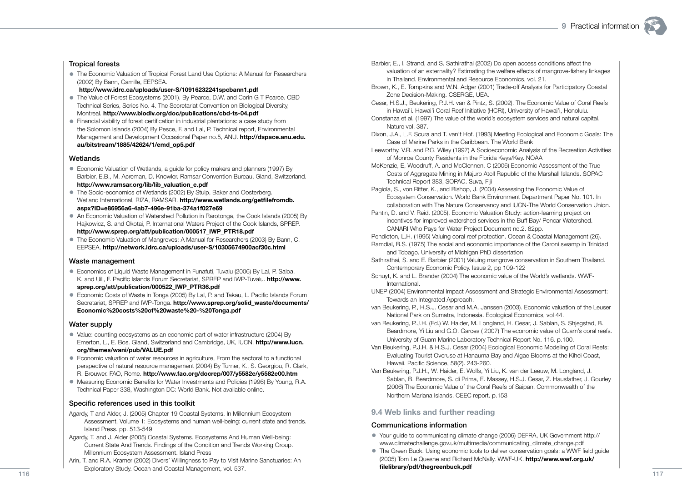#### Tropical forests

• The Economic Valuation of Tropical Forest Land Use Options: A Manual for Researchers (2002) By Bann, Camille, EEPSEA.

**http://www.idrc.ca/uploads/user-S/10916232241spcbann1.pdf**

- The Value of Forest Ecosystems (2001). By Pearce, D.W. and Corin G T Pearce. CBD Technical Series, Series No. 4. The Secretariat Convention on Biological Diversity, Montreal. **http://www.biodiv.org/doc/publications/cbd-ts-04.pdf**
- Financial viability of forest certification in industrial plantations: a case study from the Solomon Islands (2004) By Pesce, F. and Lal, P. Technical report, Environmental Management and Development Occasional Paper no.5, ANU. **http://dspace.anu.edu. au/bitstream/1885/42624/1/emd\_op5.pdf**

#### Wetlands

- Economic Valuation of Wetlands, a guide for policy makers and planners (1997) By Barbier, E.B., M. Acreman, D. Knowler. Ramsar Convention Bureau, Gland, Switzerland. **http://www.ramsar.org/lib/lib\_valuation\_e.pdf**
- The Socio-economics of Wetlands (2002) By Stuip, Baker and Oosterberg. Wetland International, RIZA, RAMSAR. **http://www.wetlands.org/getfilefromdb. aspx?ID=e86956a6-4ab7-496e-91ba-374a1f027e69**
- An Economic Valuation of Watershed Pollution in Rarotonga, the Cook Islands (2005) By Hajkowicz, S. and Okotai, P. International Waters Project of the Cook Islands, SPREP. **http://www.sprep.org/att/publication/000517\_IWP\_PTR18.pdf**
- The Economic Valuation of Mangroves: A Manual for Researchers (2003) By Bann, C. EEPSEA. **http://network.idrc.ca/uploads/user-S/10305674900acf30c.html**

#### Waste management

- Economics of Liquid Waste Management in Funafuti, Tuvalu (2006) By Lal, P. Saloa, K. and Uili, F. Pacific Islands Forum Secretariat, SPREP and IWP-Tuvalu. **http://www. sprep.org/att/publication/000522\_IWP\_PTR36.pdf**
- Economic Costs of Waste in Tonga (2005) By Lal, P. and Takau, L. Pacific Islands Forum Secretariat, SPREP and IWP-Tonga. **http://www.sprep.org/solid\_waste/documents/ Economic%20costs%20of%20waste%20-%20Tonga.pdf**

#### Water supply

- Value: counting ecosystems as an economic part of water infrastructure (2004) By Emerton, L., E. Bos. Gland, Switzerland and Cambridge, UK, IUCN. **http://www.iucn. org/themes/wani/pub/VALUE.pdf**
- Economic valuation of water resources in agriculture, From the sectoral to a functional perspective of natural resource management (2004) By Turner, K., S. Georgiou, R. Clark, R. Brouwer. FAO, Rome. **http://www.fao.org/docrep/007/y5582e/y5582e00.htm**
- Measuring Economic Benefits for Water Investments and Policies (1996) By Young, R.A. Technical Paper 338, Washington DC: World Bank. Not available online.

#### Specific references used in this toolkit

- Agardy, T and Alder, J. (2005) Chapter 19 Coastal Systems. In Millennium Ecosystem Assessment, Volume 1: Ecosystems and human well-being: current state and trends. Island Press. pp. 513-549
- Agardy, T. and J. Alder (2005) Coastal Systems. Ecosystems And Human Well-being: Current State And Trends. Findings of the Condition and Trends Working Group. Millennium Ecosystem Assessment. Island Press
- Arin, T. and R.A. Kramer (2002) Divers' Willingness to Pay to Visit Marine Sanctuaries: An Exploratory Study. Ocean and Coastal Management, vol. 537.
- Barbier, E., I. Strand, and S. Sathirathai (2002) Do open access conditions affect the valuation of an externality? Estimating the welfare effects of mangrove-fishery linkages in Thailand. Environmental and Resource Economics, vol. 21.
- Brown, K., E. Tompkins and W.N. Adger (2001) Trade-off Analysis for Participatory Coastal Zone Decision-Making. CSERGE, UEA.
- Cesar, H.S.J., Beukering, P.J.H. van & Pintz, S. (2002). The Economic Value of Coral Reefs in Hawai'i. Hawai'i Coral Reef Initiative (HCRI), University of Hawai'i, Honolulu.
- Constanza et al. (1997) The value of the world's ecosystem services and natural capital. Nature vol. 387.
- Dixon, J.A., L.F. Scura and T. van't Hof. (1993) Meeting Ecological and Economic Goals: The Case of Marine Parks in the Caribbean. The World Bank
- Leeworthy, V.R. and P.C. Wiley (1997) A Socioeconomic Analysis of the Recreation Activities of Monroe County Residents in the Florida Keys/Key. NOAA
- McKenzie, E, Woodruff, A. and McClennen, C (2006) Economic Assessment of the True Costs of Aggregate Mining in Majuro Atoll Republic of the Marshall Islands. SOPAC Technical Report 383, SOPAC. Suva, Fiji
- Pagiola, S., von Ritter, K., and Bishop, J. (2004) Assessing the Economic Value of Ecosystem Conservation. World Bank Environment Department Paper No. 101. In collaboration with The Nature Conservancy and IUCN-The World Conservation Union.
- Pantin, D. and V. Reid. (2005). Economic Valuation Study: action-learning project on incentives for improved watershed services in the Buff Bay/ Pencar Watershed. CANARI Who Pays for Water Project Document no.2. 82pp.
- Pendleton, L.H. (1995) Valuing coral reef protection. Ocean & Coastal Management (26).
- Ramdial, B.S. (1975) The social and economic importance of the Caroni swamp in Trinidad and Tobago. University of Michigan PhD dissertation
- Sathirathai, S. and E. Barbier (2001) Valuing mangrove conservation in Southern Thailand. Contemporary Economic Policy. Issue 2, pp 109-122
- Schuyt, K. and L. Brander (2004) The economic value of the World's wetlands. WWF-International.
- UNEP (2004) Environmental Impact Assessment and Strategic Environmental Assessment: Towards an Integrated Approach.
- van Beukering, P., H.S.J. Cesar and M.A. Janssen (2003). Economic valuation of the Leuser National Park on Sumatra, Indonesia. Ecological Economics, vol 44.
- van Beukering, P.J.H. (Ed.) W. Haider, M. Longland, H. Cesar, J. Sablan, S. Shjegstad, B. Beardmore, Yi Liu and G.O. Garces ( 2007) The economic value of Guam's coral reefs. University of Guam Marine Laboratory Technical Report No. 116. p.100.
- Van Beukering, P.J.H. & H.S.J. Cesar (2004) Ecological Economic Modeling of Coral Reefs: Evaluating Tourist Overuse at Hanauma Bay and Algae Blooms at the Kihei Coast, Hawaii. Pacific Science, 58(2). 243-260.
- Van Beukering, P.J.H., W. Haider, E. Wolfs, Yi Liu, K. van der Leeuw, M. Longland, J. Sablan, B. Beardmore, S. di Prima, E. Massey, H.S.J. Cesar, Z. Hausfather, J. Gourley (2006) The Economic Value of the Coral Reefs of Saipan, Commonwealth of the Northern Mariana Islands. CEEC report. p.153

#### **9.4 Web links and further reading**

#### Communications information

- Your quide to communicating climate change (2006) DEFRA, UK Government http:// www.climatechallenge.gov.uk/multimedia/communicating\_climate\_change.pdf
- The Green Buck. Using economic tools to deliver conservation goals: a WWF field guide (2005) Tom Le Quesne and Richard McNally. WWF-UK. **http://www.wwf.org.uk/ filelibrary/pdf/thegreenbuck.pdf**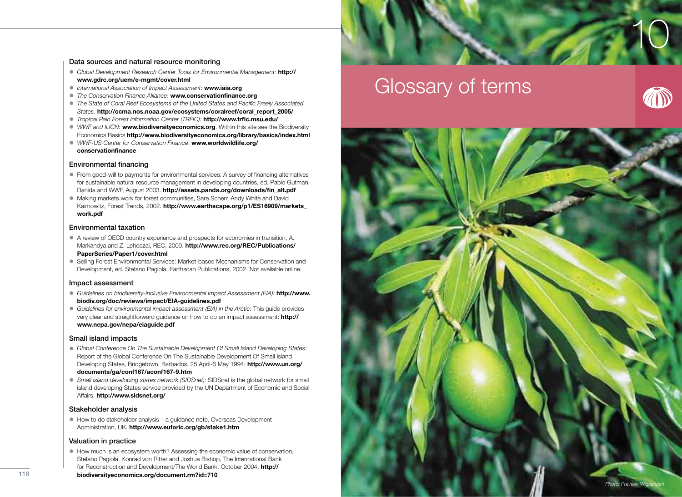# 10

#### Data sources and natural resource monitoring

- Global Development Research Center Tools for Environmental Management: **http:// www.gdrc.org/uem/e-mgmt/cover.html**
- *International Association of Impact Assessment*: **www.iaia.org**
- **The Conservation Finance Alliance: www.conservationfinance.org**
- The State of Coral Reef Ecosystems of the United States and Pacific Freely Associated *States.* **http://ccma.nos.noaa.gov/ecosystems/coralreef/coral\_report\_2005/**
- *Tropical Rain Forest Information Center (TRFIC):* **http://www.trfic.msu.edu/**
- *WWF and IUCN:* **www.biodiversityeconomics.org**. Within this site see the Biodiversity Economics Basics **http://www.biodiversityeconomics.org/library/basics/index.html**
- *WWF-US Center for Conservation Finance*: **www.worldwildlife.org/ conservationfi nance**

#### Environmental financing

- From good-will to payments for environmental services: A survey of financing alternatives for sustainable natural resource management in developing countries, ed. Pablo Gutman, Danida and WWF, August 2003. **http://assets.panda.org/downloads/fin\_alt.pdf**
- Making markets work for forest communities, Sara Scherr, Andy White and David Kaimowitz, Forest Trends, 2002. **http://www.earthscape.org/p1/ES16909/markets\_ work.pdf**

#### Environmental taxation

- A review of OECD country experience and prospects for economies in transition, A. Markandya and Z. Lehoczai, REC, 2000. **http://www.rec.org/REC/Publications/ PaperSeries/Paper1/cover.html**
- Selling Forest Environmental Services: Market-based Mechanisms for Conservation and Development, ed. Stefano Pagiola, Earthscan Publications, 2002. Not available online.

#### Impact assessment

- *Guidelines on biodiversity-inclusive Environmental Impact Assessment (EIA):* **http://www. biodiv.org/doc/reviews/impact/EIA-guidelines.pdf**
- *Guidelines for environmental impact assessment (EIA) in the Arctic*: This guide provides very clear and straightforward guidance on how to do an impact assessment: **http:// www.nepa.gov/nepa/eiaguide.pdf**

#### Small island impacts

- *Global Conference On The Sustainable Development Of Small Island Developing States*: Report of the Global Conference On The Sustainable Development Of Small Island Developing States, Bridgetown, Barbados, 25 April-6 May 1994: **http://www.un.org/ documents/ga/conf167/aconf167-9.htm**
- *Small island developing states network (SIDSnet):* SIDSnet is the global network for small island developing States service provided by the UN Department of Economic and Social Affairs. **http://www.sidsnet.org/**

#### Stakeholder analysis

• How to do stakeholder analysis – a guidance note. Overseas Development Administration, UK. **http://www.euforic.org/gb/stake1.htm**

#### Valuation in practice

- How much is an ecosystem worth? Assessing the economic value of conservation, Stefano Pagiola, Konrad von Ritter and Joshua Bishop, The International Bank for Reconstruction and Development/The World Bank, October 2004. **http://**
- **biodiversityeconomics.org/document.rm?id=710**

# Glossary of terms



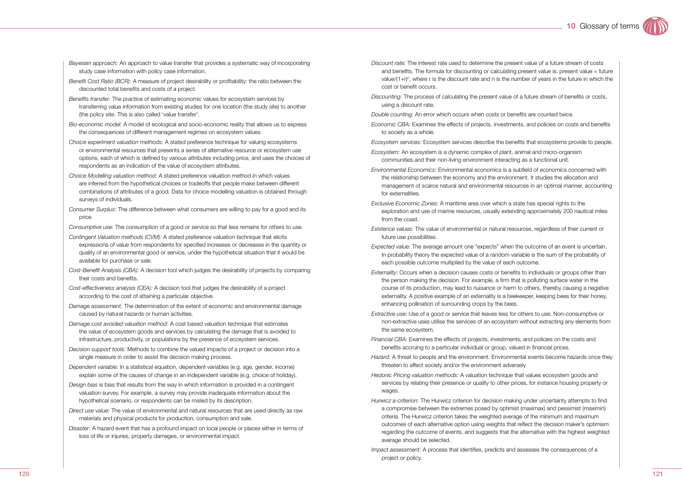- *Bayesian approach:* An approach to value transfer that provides a systematic way of incorporating study case information with policy case information.
- *Benefit Cost Ratio (BCR):* A measure of project desirability or profitability: the ratio between the discounted total benefits and costs of a project.
- *Benefits transfer:* The practice of estimating economic values for ecosystem services by transferring value information from existing studies for one location (the study site) to another (the policy site. This is also called 'value transfer'.
- *Bio-economic model:* A model of ecological and socio-economic reality that allows us to express the consequences of different management regimes on ecosystem values.
- *Choice experiment valuation methods*: A stated preference technique for valuing ecosystems or environmental resources that presents a series of alternative resource or ecosystem use options, each of which is defined by various attributes including price, and uses the choices of respondents as an indication of the value of ecosystem attributes.
- *Choice Modelling valuation method:* A stated preference valuation method in which values are inferred from the hypothetical choices or tradeoffs that people make between different combinations of attributes of a good. Data for choice modelling valuation is obtained through surveys of individuals.
- *Consumer Surplus*: The difference between what consumers are willing to pay for a good and its price.
- *Consumptive use:* The consumption of a good or service so that less remains for others to use.
- *Contingent Valuation methods (CVM):* A stated preference valuation technique that elicits expressions of value from respondents for specified increases or decreases in the quantity or quality of an environmental good or service, under the hypothetical situation that it would be available for purchase or sale.
- *Cost-Benefit Analysis (CBA):* A decision tool which judges the desirability of projects by comparing their costs and benefits.
- *Cost-effectiveness analysis (CEA):* A decision tool that judges the desirability of a project according to the cost of attaining a particular objective.
- *Damage assessment:* The determination of the extent of economic and environmental damage caused by natural hazards or human activities.
- *Damage cost avoided valuation method:* A cost based valuation technique that estimates the value of ecosystem goods and services by calculating the damage that is avoided to infrastructure, productivity, or populations by the presence of ecosystem services.
- *Decision support tools*: Methods to combine the valued impacts of a project or decision into a single measure in order to assist the decision making process.
- *Dependent variable:* In a statistical equation, dependent variables (e.g. age, gender, income) explain some of the causes of change in an independent variable (e.g. choice of holiday).
- *Design bias* is bias that results from the way in which information is provided in a contingent valuation survey. For example, a survey may provide inadequate information about the hypothetical scenario, or respondents can be misled by its description.
- *Direct use value:* The value of environmental and natural resources that are used directly as raw materials and physical products for production, consumption and sale.
- *Disaster:* A hazard event that has a profound impact on local people or places either in terms of loss of life or injuries, property damages, or environmental impact.
- *Discount rate:* The interest rate used to determine the present value of a future stream of costs and benefits. The formula for discounting or calculating present value is: present value = future value/(1+r)<sup>n</sup>, where r is the discount rate and n is the number of years in the future in which the cost or benefit occurs.
- *Discounting:* The process of calculating the present value of a future stream of benefits or costs, using a discount rate.
- *Double counting:* An error which occurs when costs or benefits are counted twice.
- *Economic CBA:* Examines the effects of projects, investments, and policies on costs and benefits to society as a whole.
- *Ecosystem services:* Ecosystem services describe the benefits that ecosystems provide to people.
- *Ecosystem:* An ecosystem is a dynamic complex of plant, animal and micro-organism communities and their non-living environment interacting as a functional unit.
- *Environmental Economics:* Environmental economics is a subfield of economics concerned with the relationship between the economy and the environment. It studies the allocation and management of scarce natural and environmental resources in an optimal manner, accounting for externalities.
- *Exclusive Economic Zones:* A maritime area over which a state has special rights to the exploration and use of marine resources, usually extending approximately 200 nautical miles from the coast.
- *Existence values:* The value of environmental or natural resources, regardless of their current or future use possibilities.
- *Expected value:* The average amount one "expects" when the outcome of an event is uncertain. In probability theory the expected value of a random variable is the sum of the probability of each possible outcome multiplied by the value of each outcome.
- *Externality*: Occurs when a decision causes costs or benefits to individuals or groups other than the person making the decision. For example, a firm that is polluting surface water in the course of its production, may lead to nuisance or harm to others, thereby causing a negative externality. A positive example of an externality is a beekeeper, keeping bees for their honey, enhancing pollination of surrounding crops by the bees.
- *Extractive use*: Use of a good or service that leaves less for others to use. Non-consumptive or non-extractive uses utilise the services of an ecosystem without extracting any elements from the same ecosystem.
- *Financial CBA:* Examines the effects of projects, investments, and policies on the costs and benefits accruing to a particular individual or group, valued in financial prices.
- *Hazard:* A threat to people and the environment. Environmental events become hazards once they threaten to affect society and/or the environment adversely
- *Hedonic Pricing valuation methods:* A valuation technique that values ecosystem goods and services by relating their presence or quality to other prices, for instance housing property or wages.
- *Hurwicz a-criterion:* The Hurwicz criterion for decision making under uncertainty attempts to find a compromise between the extremes posed by optimist (maximax) and pessimist (maximin) criteria. The Hurwicz criterion takes the weighted average of the minimum and maximum outcomes of each alternative option using weights that reflect the decision maker's optimism regarding the outcome of events, and suggests that the alternative with the highest weighted average should be selected.
- *Impact assessment:* A process that identifies, predicts and assesses the consequences of a project or policy.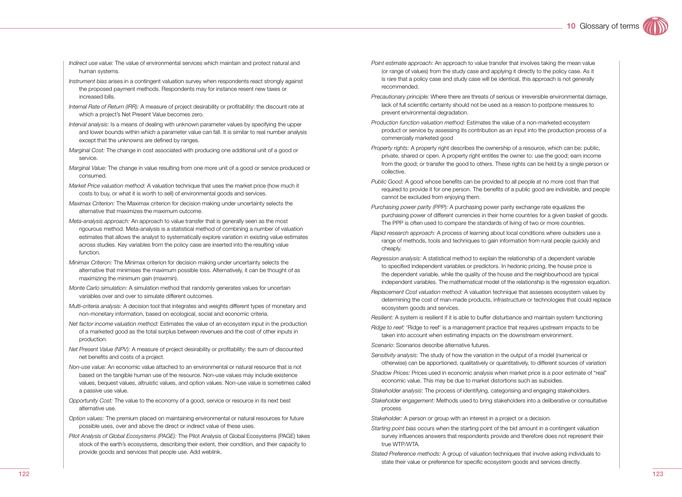- *Indirect use value:* The value of environmental services which maintain and protect natural and human systems.
- *Instrument bias* arises in a contingent valuation survey when respondents react strongly against the proposed payment methods. Respondents may for instance resent new taxes or increased bills.
- *Internal Rate of Return (IRR):* A measure of project desirability or profitability: the discount rate at which a project's Net Present Value becomes zero.
- *Interval analysis:* Is a means of dealing with unknown parameter values by specifying the upper and lower bounds within which a parameter value can fall. It is similar to real number analysis except that the unknowns are defined by ranges.
- *Marginal Cost:* The change in cost associated with producing one additional unit of a good or service.
- *Marginal Value:* The change in value resulting from one more unit of a good or service produced or consumed.
- *Market Price valuation method:* A valuation technique that uses the market price (how much it costs to buy, or what it is worth to sell) of environmental goods and services.
- *Maximax Criterion:* The Maximax criterion for decision making under uncertainty selects the alternative that maximizes the maximum outcome.
- *Meta-analysis approach:* An approach to value transfer that is generally seen as the most rigourous method. Meta-analysis is a statistical method of combining a number of valuation estimates that allows the analyst to systematically explore variation in existing value estimates across studies. Key variables from the policy case are inserted into the resulting value function.
- *Minimax Criteron:* The Minimax criterion for decision making under uncertainty selects the alternative that minimises the maximum possible loss. Alternatively, it can be thought of as maximizing the minimum gain (maximin).
- *Monte Carlo simulation:* A simulation method that randomly generates values for uncertain variables over and over to simulate different outcomes.
- *Multi-criteria analysis:* A decision tool that integrates and weights different types of monetary and non-monetary information, based on ecological, social and economic criteria.
- *Net factor income valuation method:* Estimates the value of an ecosystem input in the production of a marketed good as the total surplus between revenues and the cost of other inputs in production.
- *Net Present Value (NPV):* A measure of project desirability or profitability: the sum of discounted net benefits and costs of a project.
- *Non-use value:* An economic value attached to an environmental or natural resource that is not based on the tangible human use of the resource. Non-use values may include existence values, bequest values, altruistic values, and option values. Non-use value is sometimes called a passive use value.
- *Opportunity Cost:* The value to the economy of a good, service or resource in its next best alternative use.
- *Option values:* The premium placed on maintaining environmental or natural resources for future possible uses, over and above the direct or indirect value of these uses.
- *Pilot Analysis of Global Ecosystems (PAGE):* The Pilot Analysis of Global Ecosystems (PAGE) takes stock of the earth's ecosystems, describing their extent, their condition, and their capacity to provide goods and services that people use. Add weblink.
- *Point estimate approach:* An approach to value transfer that involves taking the mean value (or range of values) from the study case and applying it directly to the policy case. As it is rare that a policy case and study case will be identical, this approach is not generally recommended.
- *Precautionary principle:* Where there are threats of serious or irreversible environmental damage, lack of full scientific certainty should not be used as a reason to postpone measures to prevent environmental degradation.
- *Production function valuation method:* Estimates the value of a non-marketed ecosystem product or service by assessing its contribution as an input into the production process of a commercially marketed good
- *Property rights:* A property right describes the ownership of a resource, which can be: public, private, shared or open. A property right entitles the owner to: use the good; earn income from the good; or transfer the good to others. These rights can be held by a single person or collective.
- *Public Good:* A good whose benefits can be provided to all people at no more cost than that required to provide it for one person. The benefits of a public good are indivisible, and people cannot be excluded from enjoying them.
- *Purchasing power parity (PPP):* A purchasing power parity exchange rate equalizes the purchasing power of different currencies in their home countries for a given basket of goods. The PPP is often used to compare the standards of living of two or more countries.
- *Rapid research approach:* A process of learning about local conditions where outsiders use a range of methods, tools and techniques to gain information from rural people quickly and cheaply.
- *Regression analysis:* A statistical method to explain the relationship of a dependent variable to specified independent variables or predictors. In hedonic pricing, the house price is the dependent variable, while the quality of the house and the neighbourhood are typical independent variables. The mathematical model of the relationship is the regression equation.
- *Replacement Cost valuation method:* A valuation technique that assesses ecosystem values by determining the cost of man-made products, infrastructure or technologies that could replace ecosystem goods and services.
- *Resilient:* A system is resilient if it is able to buffer disturbance and maintain system functioning
- *Ridge to reef:* 'Ridge to reef' is a management practice that requires upstream impacts to be taken into account when estimating impacts on the downstream environment.
- *Scenario*: Scenarios describe alternative futures.
- *Sensitivity analysis:* The study of how the variation in the output of a model (numerical or otherwise) can be apportioned, qualitatively or quantitatively, to different sources of variation
- *Shadow Prices:* Prices used in economic analysis when market price is a poor estimate of "real" economic value. This may be due to market distortions such as subsidies.
- *Stakeholder analysis*: The process of identifying, categorising and engaging stakeholders.
- *Stakeholder engagement*: Methods used to bring stakeholders into a deliberative or consultative process
- *Stakeholder:* A person or group with an interest in a project or a decision.
- *Starting point bias* occurs when the starting point of the bid amount in a contingent valuation survey influences answers that respondents provide and therefore does not represent their true WTP/WTA.
- *Stated Preference methods:* A group of valuation techniques that involve asking individuals to state their value or preference for specific ecosystem goods and services directly.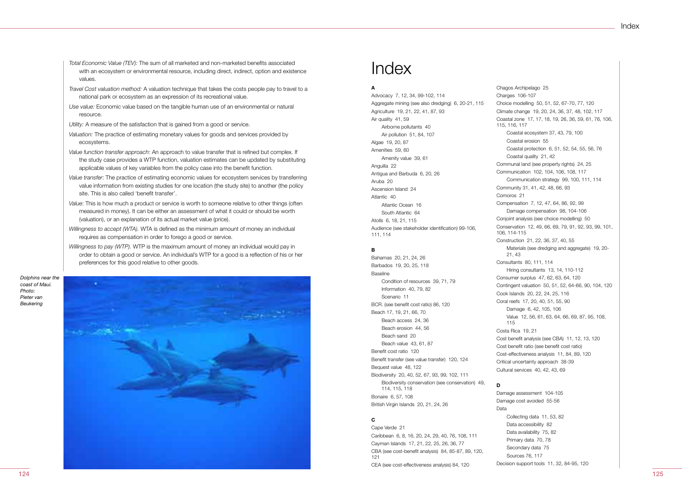Index

- *Total Economic Value (TEV):* The sum of all marketed and non-marketed benefits associated with an ecosystem or environmental resource, including direct, indirect, option and existence values.
- *Travel Cost valuation method:* A valuation technique that takes the costs people pay to travel to a national park or ecosystem as an expression of its recreational value.
- *Use value:* Economic value based on the tangible human use of an environmental or natural resource.
- *Utility:* A measure of the satisfaction that is gained from a good or service.
- *Valuation:* The practice of estimating monetary values for goods and services provided by ecosystems.
- *Value function transfer approach*: An approach to value transfer that is refined but complex. If the study case provides a WTP function, valuation estimates can be updated by substituting applicable values of key variables from the policy case into the benefit function.
- *Value transfer*: The practice of estimating economic values for ecosystem services by transferring value information from existing studies for one location (the study site) to another (the policy site. This is also called 'benefit transfer'.
- *Value*: This is how much a product or service is worth to someone relative to other things (often measured in money). It can be either an assessment of what it could or should be worth (valuation), or an explanation of its actual market value (price).
- *Willingness to accept (WTA).* WTA is defined as the minimum amount of money an individual requires as compensation in order to forego a good or service.
- *Willingness to pay (WTP).* WTP is the maximum amount of money an individual would pay in order to obtain a good or service. An individual's WTP for a good is a reflection of his or her preferences for this good relative to other goods.

*Dolphins near the coast of Maui. Photo: Pieter van Beukering*

124



### Index

#### **A**

Advocacy 7, 12, 34, 99-102, 114 Aggregate mining (see also dredging) 6, 20-21, 115 Agriculture 19, 21, 22, 41, 87, 93 Air quality 41, 59 Airborne pollutants 40 Air pollution 51, 84, 107 Algae 19, 20, 87 Amenities 59, 60 Amenity value 39, 61 Anguilla 22 Antigua and Barbuda 6, 20, 26 Aruba 20 Ascension Island 24 Atlantic 40 Atlantic Ocean 16 South Atlantic 64 Atolls 6, 18, 21, 115 Audience (see stakeholder identification) 99-106, 111, 114

#### **B**

Bahamas 20, 21, 24, 26 Barbados 19, 20, 25, 118 Baseline Condition of resources 39, 71, 79 Information 40, 79, 82 Scenario 11 BCR. (see benefit cost ratio) 86, 120 Beach 17, 19, 21, 66, 70 Beach access 24, 36 Beach erosion 44, 56 Beach sand 20 Beach value 43, 61, 87 Benefit cost ratio 120 Benefit transfer (see value transfer) 120, 124 Bequest value 48, 122 Biodiversity 20, 40, 52, 67, 93, 99, 102, 111 Biodiversity conservation (see conservation) 49, 114, 115, 118 Bonaire 6, 57, 108 British Virgin Islands 20, 21, 24, 26

#### **C**

Cape Verde 21 Caribbean 6, 8, 16, 20, 24, 29, 40, 76, 108, 111 Cayman Islands 17, 21, 22, 25, 26, 36, 77 CBA (see cost-benefit analysis) 84, 85-87, 89, 120, 121 CEA (see cost-effectiveness analysis) 84, 120

Chagos Archipelago 25 Charges 106-107 Choice modelling 50, 51, 52, 67-70, 77, 120 Climate change 19, 20, 24, 36, 37, 48, 102, 117 Coastal zone 17, 17, 18, 19, 26, 36, 59, 61, 76, 106, 115, 116, 117 Coastal ecosystem 37, 43, 79, 100 Coastal erosion 55 Coastal protection 6, 51, 52, 54, 55, 56, 76 Coastal quality 21, 42 Communal land (see property rights) 24, 25 Communication 102, 104, 106, 108, 117 Communication strategy 99, 100, 111, 114 Community 31, 41, 42, 48, 66, 93 Comoros 21 Compensation 7, 12, 47, 64, 86, 92, 99 Damage compensation 98, 104-106 Conjoint analysis (see choice modelling) 50 Conservation 12, 49, 66, 69, 79, 91, 92, 93, 99, 101, 106, 114-115 Construction 21, 22, 36, 37, 40, 55 Materials (see dredging and aggregate) 19, 20- 21, 43 Consultants 80, 111, 114 Hiring consultants 13, 14, 110-112 Consumer surplus 47, 62, 63, 64, 120 Contingent valuation 50, 51, 52, 64-66, 90, 104, 120 Cook Islands 20, 22, 24, 25, 116 Coral reefs 17, 20, 40, 51, 55, 90 Damage 6, 42, 105, 106 Value 12, 56, 61, 63, 64, 66, 69, 87, 95, 108, 115 Costa Rica 19, 21 Cost benefit analysis (see CBA) 11, 12, 13, 120 Cost benefit ratio (see benefit cost ratio) Cost-effectiveness analysis 11, 84, 89, 120 Critical uncertainty approach 38-39 Cultural services 40, 42, 43, 69

#### **D**

Damage assessment 104-105 Damage cost avoided 55-56 Data Collecting data 11, 53, 82 Data accessibility 82 Data availability 75, 82 Primary data 70, 78 Secondary data 75 Sources 76, 117 Decision support tools 11, 32, 84-95, 120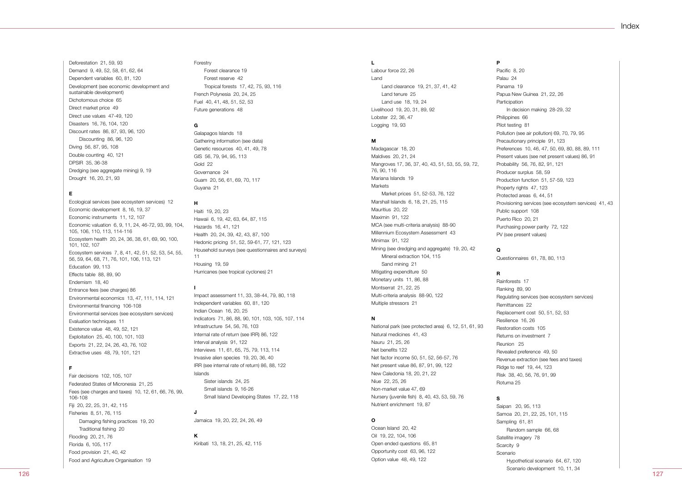Deforestation 21, 59, 93 Demand 9, 49, 52, 58, 61, 62, 64 Dependent variables 60, 81, 120 Development (see economic development and sustainable development) Dichotomous choice 65 Direct market price 49 Direct use values 47-49, 120 Disasters 16, 76, 104, 120 Discount rates 86, 87, 93, 96, 120 Discounting 86, 96, 120 Diving 56, 87, 95, 108 Double counting 40, 121 DPSIR 35, 36-38 Dredging (see aggregate mining) 9, 19 Drought 16, 20, 21, 93

#### **E**

Ecological services (see ecosystem services) 12 Economic development 8, 16, 19, 37 Economic instruments 11, 12, 107 Economic valuation 6, 9, 11, 24, 46-72, 93, 99, 104, 105, 106, 110, 113, 114-116 Ecosystem health 20, 24, 36, 38, 61, 69, 90, 100, 101, 102, 107 Ecosystem services 7, 8, 41, 42, 51, 52, 53, 54, 55, 56, 59, 64, 68, 71, 76, 101, 106, 113, 121 Education 99, 113 Effects table 88, 89, 90 Endemism 18, 40 Entrance fees (see charges) 86 Environmental economics 13, 47, 111, 114, 121 Environmental financing 106-108 Environmental services (see ecosystem services) Evaluation techniques 11 Existence value 48, 49, 52, 121 Exploitation 25, 40, 100, 101, 103 Exports 21, 22, 24, 26, 43, 76, 102 Extractive uses 48, 79, 101, 121

#### **F**

Fair decisions 102, 105, 107 Federated States of Micronesia 21, 25 Fees (see charges and taxes) 10, 12, 61, 66, 76, 99, 106-108 Fiji 20, 22, 25, 31, 42, 115 Fisheries 8, 51, 76, 115 Damaging fishing practices 19, 20 Traditional fishing 20 Flooding 20, 21, 76 Florida 6, 105, 117 Food provision 21, 40, 42 Food and Agriculture Organisation 19

#### Forestry Forest clearance 19

 Forest reserve 42 Tropical forests 17, 42, 75, 93, 116 French Polynesia 20, 24, 25 Fuel 40, 41, 48, 51, 52, 53 Future generations 48

#### **G**

Galapagos Islands 18 Gathering information (see data) Genetic resources 40, 41, 49, 78 GIS 56, 79, 94, 95, 113 Gold 22 Governance 24 Guam 20, 56, 61, 69, 70, 117 Guyana 21

#### **H**

**I**

**J**

Haiti 19, 20, 23 Hawaii 6, 19, 42, 63, 64, 87, 115 Hazards 16, 41, 121 Health 20, 24, 39, 42, 43, 87, 100 Hedonic pricing 51, 52, 59-61, 77, 121, 123 Household surveys (see questionnaires and surveys) 11 Housing 19, 59 Hurricanes (see tropical cyclones) 21

Impact assessment 11, 33, 38-44, 79, 80, 118 Independent variables 60, 81, 120 Indian Ocean 16, 20, 25 Indicators 71, 86, 88, 90, 101, 103, 105, 107, 114 Infrastructure 54, 56, 76, 103 Internal rate of return (see IRR) 86, 122 Interval analysis 91, 122 Interviews 11, 61, 65, 75, 79, 113, 114 Invasive alien species 19, 20, 36, 40 IRR (see internal rate of return) 86, 88, 122 Islands Sister islands 24, 25 Small islands 9, 16-26 Small Island Developing States 17, 22, 118

Jamaica 19, 20, 22, 24, 26, 49

**K** Kiribati 13, 18, 21, 25, 42, 115

#### **L**

Labour force 22, 26 Land Land clearance 19, 21, 37, 41, 42 Land tenure 25 Land use 18, 19, 24 Livelihood 19, 20, 31, 89, 92 Lobster 22, 36, 47 Logging 19, 93

#### **M**

Madagascar 18, 20 Maldives 20, 21, 24 Mangroves 17, 36, 37, 40, 43, 51, 53, 55, 59, 72, 76, 90, 116 Mariana Islands 19 **Markets**  Market prices 51, 52-53, 76, 122 Marshall Islands 6, 18, 21, 25, 115 Mauritius 20, 22 Maximin 91, 122 MCA (see multi-criteria analysis) 88-90 Millennium Ecosystem Assessment 43 Minimax 91, 122 Mining (see dredging and aggregate) 19, 20, 42 Mineral extraction 104, 115 Sand mining 21 Mitigating expenditure 50 Monetary units 11, 86, 88 Montserrat 21, 22, 25 Multi-criteria analysis 88-90, 122 Multiple stressors 21

#### **N**

National park (see protected area) 6, 12, 51, 61, 93 Natural medicines 41, 43 Nauru 21, 25, 26 Net benefits 122 Net factor income 50, 51, 52, 56-57, 76 Net present value 86, 87, 91, 99, 122 New Caledonia 18, 20, 21, 22 Niue 22, 25, 26 Non-market value 47, 69 Nursery (juvenile fish) 8, 40, 43, 53, 59, 76 Nutrient enrichment 19, 87

#### **O**

Ocean Island 20, 42 Oil 19, 22, 104, 106 Open ended questions 65, 81 Opportunity cost 63, 96, 122 Option value 48, 49, 122

#### Pacific 8, 20

**P**

Palau 24 Panama 19 Papua New Guinea 21, 22, 26 Participation In decision making 28-29, 32 Philippines 66 Pilot testing 81 Pollution (see air pollution) 69, 70, 79, 95 Precautionary principle 91, 123 Preferences 10, 46, 47, 50, 69, 80, 88, 89, 111 Present values (see net present values) 86, 91 Probability 56, 76, 82, 91, 121 Producer surplus 58, 59 Production function 51, 57-59, 123 Property rights 47, 123 Protected areas 6, 44, 51 Provisioning services (see ecosystem services) 41, 43 Public support 108 Puerto Rico 20, 21 Purchasing power parity 72, 122 PV (see present values)

#### **Q**

Questionnaires 61, 78, 80, 113

#### **R**

Rainforests 17 Ranking 89, 90 Regulating services (see ecosystem services) Remittances 22 Replacement cost 50, 51, 52, 53 Resilience 16, 26 Restoration costs 105 Returns on investment 7 Reunion 25 Revealed preference 49, 50 Revenue extraction (see fees and taxes) Ridge to reef 19, 44, 123 Risk 38, 40, 56, 76, 91, 99 Rotuma 25

#### **S**

Saipan 20, 95, 113 Samoa 20, 21, 22, 25, 101, 115 Sampling 61, 81 Random sample 66, 68 Satellite imagery 78 Scarcity 9 Scenario Hypothetical scenario 64, 67, 120 Scenario development 10, 11, 34